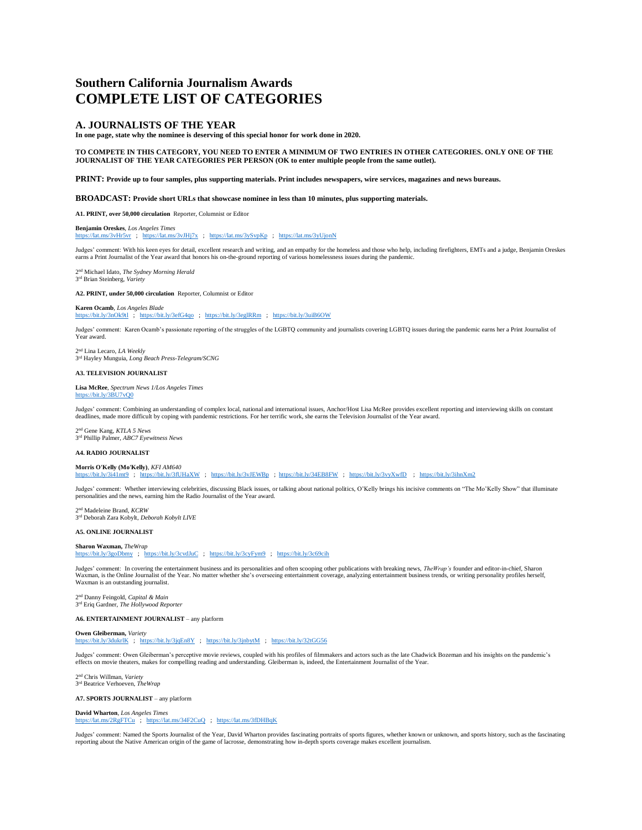# **Southern California Journalism Awards COMPLETE LIST OF CATEGORIES**

## **A. JOURNALISTS OF THE YEAR**

**In one page, state why the nominee is deserving of this special honor for work done in 2020.** 

**TO COMPETE IN THIS CATEGORY, YOU NEED TO ENTER A MINIMUM OF TWO ENTRIES IN OTHER CATEGORIES. ONLY ONE OF THE JOURNALIST OF THE YEAR CATEGORIES PER PERSON (OK to enter multiple people from the same outlet).** 

**PRINT: Provide up to four samples, plus supporting materials. Print includes newspapers, wire services, magazines and news bureaus.** 

**BROADCAST: Provide short URLs that showcase nominee in less than 10 minutes, plus supporting materials.** 

**A1. PRINT, over 50,000 circulation** Reporter, Columnist or Editor

**Benjamin Oreskes**, *Los Angeles Times* <https://lat.ms/3vHr5vr>; <https://lat.ms/3vJHj7x>; <https://lat.ms/3ySvpKp>; <https://lat.ms/3yUjonN>

Judges' comment: With his keen eyes for detail, excellent research and writing, and an empathy for the homeless and those who help, including firefighters, EMTs and a judge, Benjamin Oreskes earns a Print Journalist of the Year award that honors his on-the-ground reporting of various homelessness issues during the pandemic.

2 nd Michael Idato, *The Sydney Morning Herald* 3 rd Brian Steinberg, *Variety*

**A2. PRINT, under 50,000 circulation** Reporter, Columnist or Editor

**Karen Ocamb**, *Los Angeles Blade* <https://bit.ly/3nOk9tl>; <https://bit.ly/3efG4qo>; <https://bit.ly/3eglRRm>; <https://bit.ly/3uiB6OW>

Judges' comment: Karen Ocamb's passionate reporting of the struggles of the LGBTQ community and journalists covering LGBTQ issues during the pandemic earns her a Print Journalist of Year award.

2 nd Lina Lecaro, *LA Weekly* 3 rd Hayley Munguia, *Long Beach Press-Telegram/SCNG*

## **A3. TELEVISION JOURNALIST**

**Lisa McRee**, *Spectrum News 1/Los Angeles Times* <https://bit.ly/3BU7vQ0>

Judges' comment: Combining an understanding of complex local, national and international issues, Anchor/Host Lisa McRee provides excellent reporting and interviewing skills on constant deadlines, made more difficult by coping with pandemic restrictions. For her terrific work, she earns the Television Journalist of the Year award.

2 nd Gene Kang, *KTLA 5 News* 3 rd Phillip Palmer, *ABC7 Eyewitness News*

### **A4. RADIO JOURNALIST**

**Morris O'Kelly (Mo'Kelly)**, *KFI AM640* <https://bit.ly/3i41mt9>; <https://bit.ly/3fUHaXW>; <https://bit.ly/3vJEWBp>;<https://bit.ly/34EB8FW>; <https://bit.ly/3vyXwfD>; <https://bit.ly/3ihnXm2>

Judges' comment: Whether interviewing celebrities, discussing Black issues, or talking about national politics, O'Kelly brings his incisive comments on "The Mo'Kelly Show" that illuminate personalities and the news, earning him the Radio Journalist of the Year award.

2 nd Madeleine Brand, *KCRW* 3 rd Deborah Zara Kobylt, *Deborah Kobylt LIVE*

## **A5. ONLINE JOURNALIST**

**Sharon Waxman,** *TheWrap* <https://bit.ly/3goDbmy>; <https://bit.ly/3cvdJuC>; <https://bit.ly/3cyFym9>; <https://bit.ly/3c69cih>

Judges' comment: In covering the entertainment business and its personalities and often scooping other publications with breaking news, *TheWrap's* founder and editor-in-chief, Sharon Waxman, is the Online Journalist of the Year. No matter whether she's overseeing entertainment coverage, analyzing entertainment business trends, or writing personality profiles herself, the Vear. No matter whether she's o Waxman is an outstanding journalist.

2 nd Danny Feingold, *Capital & Main* 3 rd Eriq Gardner, *The Hollywood Reporter*

**A6. ENTERTAINMENT JOURNALIST** – any platform

**Owen Gleiberman,** *Variety* <https://bit.ly/3dukrlK>; <https://bit.ly/3jqEn8Y>; <https://bit.ly/3jnbytM>; <https://bit.ly/32tGG56>

Judges' comment: Owen Gleiberman's perceptive movie reviews, coupled with his profiles of filmmakers and actors such as the late Chadwick Bozeman and his insights on the pandemic's effects on movie theaters, makes for compelling reading and understanding. Gleiberman is, indeed, the Entertainment Journalist of the Year.

2 nd Chris Willman, *Variety* 3 rd Beatrice Verhoeven, *TheWrap*

**A7. SPORTS JOURNALIST** – any platform

**David Wharton**, *Los Angeles Times* <https://lat.ms/2RgFTCu>; <https://lat.ms/34F2CuQ>; <https://lat.ms/3fDHBqK>

Judges' comment: Named the Sports Journalist of the Year, David Wharton provides fascinating portraits of sports figures, whether known or unknown, and sports history, such as the fascinating reporting about the Native American origin of the game of lacrosse, demonstrating how in-depth sports coverage makes excellent journalism.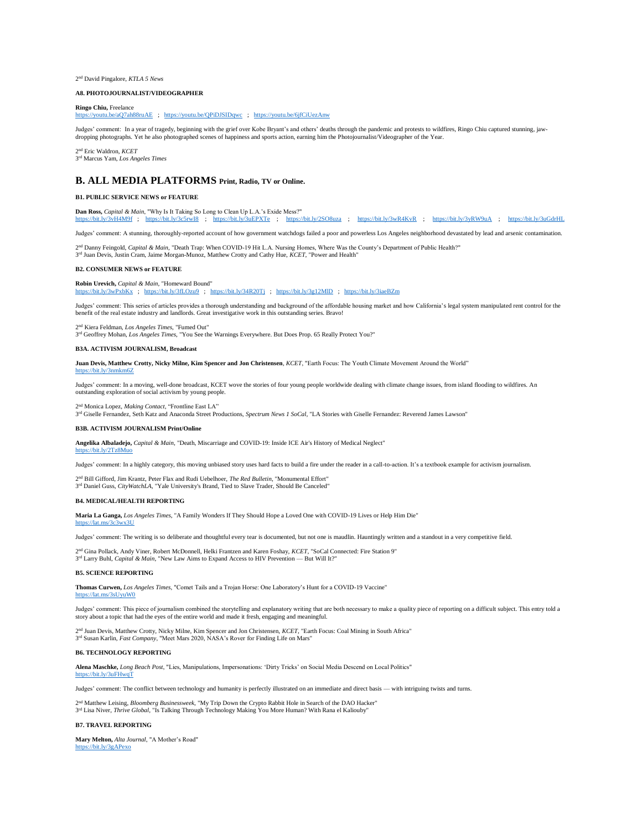2 nd David Pingalore, *KTLA 5 News*

#### **A8. PHOTOJOURNALIST/VIDEOGRAPHER**

**Ringo Chiu,** Freelance

<https://youtu.be/aQ7ah88ruAE>; <https://youtu.be/QPiDJSIDqwc>; <https://youtu.be/6jfCiUezAnw>

Judges' comment: In a year of tragedy, beginning with the grief over Kobe Bryant's and others' deaths through the pandemic and protests to wildfires, Ringo Chiu captured stunning, jawdropping photographs. Yet he also photographed scenes of happiness and sports action, earning him the Photojournalist/Videographer of the Year.

2 nd Eric Waldron, *KCET* 3 rd Marcus Yam, *Los Angeles Times*

## **B. ALL MEDIA PLATFORMS Print, Radio, TV or Online.**

## **B1. PUBLIC SERVICE NEWS or FEATURE**

**Dan Ross,** *Capital & Main*, "Why Is It Taking So Long to Clean Up L.A.'s Exide Mess?" <https://bit.ly/3vH4M9f>; <https://bit.ly/3c5rwI8>; <https://bit.ly/3uEPXTe>; <https://bit.ly/2SO8uza>; <https://bit.ly/3wR4KvR>; <https://bit.ly/3yRW9uA>; <https://bit.ly/3uGdrHL>

Judges' comment: A stunning, thoroughly-reported account of how government watchdogs failed a poor and powerless Los Angeles neighborhood devastated by lead and arsenic contamination.

2<sup>nd</sup> Danny Feingold, *Capital & Main*, "Death Trap: When COVID-19 Hit L.A. Nursing Homes, Where Was the County's Department of Public Health?" 3 rd Juan Devis, Justin Cram, Jaime Morgan-Munoz, Matthew Crotty and Cathy Hue, *KCET*, "Power and Health"

### **B2. CONSUMER NEWS or FEATURE**

**Robin Urevich,** *Capital & Main*, "Homeward Bound" <https://bit.ly/3wPxbKx>; <https://bit.ly/3fLOzu9>; <https://bit.ly/34R20Tj>; <https://bit.ly/3g12MlD>; <https://bit.ly/3iaeBZm>

Judges' comment: This series of articles provides a thorough understanding and background of the affordable housing market and how California's legal system manipulated rent control for the<br>benefit of the real estate indus

2 nd Kiera Feldman, *Los Angeles Times*, "Fumed Out"

3 rd Geoffrey Mohan, *Los Angeles Times*, "You See the Warnings Everywhere. But Does Prop. 65 Really Protect You?"

#### **B3A. ACTIVISM JOURNALISM, Broadcast**

**Juan Devis, Matthew Crotty, Nicky Milne, Kim Spencer and Jon Christensen**, *KCET*, "Earth Focus: The Youth Climate Movement Around the World" https://bit.ly/3n

Judges' comment: In a moving, well-done broadcast, KCET wove the stories of four young people worldwide dealing with climate change issues, from island flooding to wildfires. An outstanding exploration of social activism by young people.

2 nd Monica Lopez, *Making Contact*, "Frontline East LA"

3 rd Giselle Fernandez, Seth Katz and Anaconda Street Productions, *Spectrum News 1 SoCal*, "LA Stories with Giselle Fernandez: Reverend James Lawson"

### **B3B. ACTIVISM JOURNALISM Print/Online**

**Angelika Albaladejo,** *Capital & Main*, "Death, Miscarriage and COVID-19: Inside ICE Air's History of Medical Neglect" <https://bit.ly/2Tz8Muo>

Judges' comment: In a highly category, this moving unbiased story uses hard facts to build a fire under the reader in a call-to-action. It's a textbook example for activism journalism.

2 nd Bill Gifford, Jim Krantz, Peter Flax and Rudi Uebelhoer, *The Red Bulletin*, "Monumental Effort" 3<sup>rd</sup> Daniel Guss, *CityWatchLA*, "Yale University's Brand, Tied to Slave Trader, Should Be Canceled"

#### **B4. MEDICAL/HEALTH REPORTING**

**Maria La Ganga,** *Los Angeles Times*, "A Family Wonders If They Should Hope a Loved One with COVID-19 Lives or Help Him Die"

Judges' comment: The writing is so deliberate and thoughtful every tear is documented, but not one is maudlin. Hauntingly written and a standout in a very competitive field.

2 nd Gina Pollack, Andy Viner, Robert McDonnell, Helki Frantzen and Karen Foshay, *KCET*, "SoCal Connected: Fire Station 9" 3<sup>rd</sup> Larry Buhl, *Capital & Main*, "New Law Aims to Expand Access to HIV Prevention — But Will It?"

#### **B5. SCIENCE REPORTING**

<https://lat.ms/3c3wx3U>

**Thomas Curwen,** *Los Angeles Times*, "Comet Tails and a Trojan Horse: One Laboratory's Hunt for a COVID-19 Vaccine" <https://lat.ms/3sUyuW0>

Judges' comment: This piece of journalism combined the storytelling and explanatory writing that are both necessary to make a quality piece of reporting on a difficult subject. This entry told a story about a topic that had the eyes of the entire world and made it fresh, engaging and meaningful.

2<sup>nd</sup> Juan Devis, Matthew Crotty, Nicky Milne, Kim Spencer and Jon Christensen, *KCET*, "Ear<br>3<sup>rd</sup> Susan Karlin, *Fast Company,* "Meet Mars 2020, NASA's Rover for Finding Life on Mars" I Juan Devis, Matthew Crotty, Nicky Milne, Kim Spencer and Jon Christensen, *KCET*, "Earth Focus: Coal Mining in South Africa"

#### **B6. TECHNOLOGY REPORTING**

**Alena Maschke,** *Long Beach Post*, "Lies, Manipulations, Impersonations: 'Dirty Tricks' on Social Media Descend on Local Politics" <https://bit.ly/3uFHwqT>

Judges' comment: The conflict between technology and humanity is perfectly illustrated on an immediate and direct basis — with intriguing twists and turns.

2 nd Matthew Leising, *Bloomberg Businessweek*, "My Trip Down the Crypto Rabbit Hole in Search of the DAO Hacker" 3 rd Lisa Niver, *Thrive Global*, "Is Talking Through Technology Making You More Human? With Rana el Kaliouby"

#### **B7. TRAVEL REPORTING**

**Mary Melton,** *Alta Journal*, "A Mother's Road" <https://bit.ly/3gAPexo>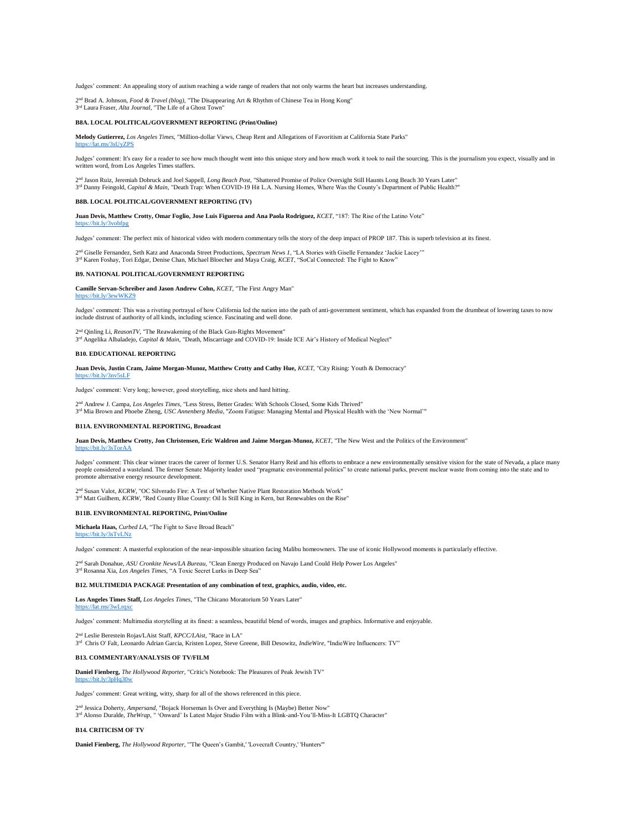Judges' comment: An appealing story of autism reaching a wide range of readers that not only warms the heart but increases understanding.

2 nd Brad A. Johnson, *Food & Travel (blog)*, "The Disappearing Art & Rhythm of Chinese Tea in Hong Kong" 3 rd Laura Fraser, *Alta Journal*, "The Life of a Ghost Town"

## **B8A. LOCAL POLITICAL/GOVERNMENT REPORTING (Print/Online)**

**Melody Gutierrez,** *Los Angeles Times*, "Million-dollar Views, Cheap Rent and Allegations of Favoritism at California State Parks" <https://lat.ms/3sUyZPS>

Judges' comment: It's easy for a reader to see how much thought went into this unique story and how much work it took to nail the sourcing. This is the journalism you expect, visually and in written word, from Los Angeles Times staffers.

2<sup>nd</sup> Jason Ruiz, Jeremiah Dobruck and Joel Sappell, *Long Beach Post*, "Shattered Promise of Police Oversight Still Haunts Long Beach 30 Years Later"<br><sup>3rd</sup> Danny Feingold, *Capital & Main*, "Death Trap: When COVID-19 Hit

### **B8B. LOCAL POLITICAL/GOVERNMENT REPORTING (TV)**

**Juan Devis, Matthew Crotty, Omar Foglio, Jose Luis Figueroa and Ana Paola Rodriguez,** *KCET*, "187: The Rise of the Latino Vote" <https://bit.ly/3vobfpg>

Judges' comment: The perfect mix of historical video with modern commentary tells the story of the deep impact of PROP 187. This is superb television at its finest.

2 nd Giselle Fernandez, Seth Katz and Anaconda Street Productions, *Spectrum News 1*, "LA Stories with Giselle Fernandez 'Jackie Lacey'" 3 rd Karen Foshay, Tori Edgar, Denise Chan, Michael Bloecher and Maya Craig, *KCET*, "SoCal Connected: The Fight to Know"

#### **B9. NATIONAL POLITICAL/GOVERNMENT REPORTING**

**Camille Servan-Schreiber and Jason Andrew Cohn,** *KCET*, "The First Angry Man" <https://bit.ly/3ewWKZ9>

Judges' comment: This was a riveting portrayal of how California led the nation into the path of anti-government sentiment, which has expanded from the drumbeat of lowering taxes to now include distrust of authority of all kinds, including science. Fascinating and well done

2<sup>nd</sup> Qinling Li, *ReasonTV*, "The Reawakening of the Black Gun-Rights Movement"<br>3<sup>rd</sup> Angelika Albaladejo, *Capital & Main*, "Death, Miscarriage and COVID-19: Inside ICE Air's History of Medical Neglect" <sup>1</sup> Qinling Li, *ReasonTV*, "The Reawakening of the Black Gun-Rights Movement"

#### **B10. EDUCATIONAL REPORTING**

**Juan Devis, Justin Cram, Jaime Morgan-Munoz, Matthew Crotty and Cathy Hue,** *KCET*, "City Rising: Youth & Democracy" //bit.ly/3nv5sLF

Judges' comment: Very long; however, good storytelling, nice shots and hard hitting.

2 d Andrew J. Campa, *Los Angeles Times*, "Less Stress, Better Grades: With Schools Closed, Some Kids Thrived" 3 rd Mia Brown and Phoebe Zheng, *USC Annenberg Media*, "Zoom Fatigue: Managing Mental and Physical Health with the 'New Normal'"

#### **B11A. ENVIRONMENTAL REPORTING, Broadcast**

**Juan Devis, Matthew Crotty, Jon Christensen, Eric Waldron and Jaime Morgan-Munoz,** *KCET*, "The New West and the Politics of the Environment" <https://bit.ly/3sTorAA>

Judges' comment: This clear winner traces the career of former U.S. Senator Harry Reid and his efforts to embrace a new environmentally sensitive vision for the state of Nevada, a place many people considered a wasteland. The former Senate Majority leader used "pragmatic environmental politics" to create national parks, prevent nuclear waste from coming into the state and to promote alternative energy resource development.

2<sup>nd</sup> Susan Valot, *KCRW*, "OC Silverado Fire: A Test of Whether Native Plant Restoration Methods Work"<br>3<sup>rd</sup> Matt Guilhem, *KCRW*, "Red County Blue County: Oil Is Still King in Kern, but Renewables on the Rise"

## **B11B. ENVIRONMENTAL REPORTING, Print/Online**

**Michaela Haas,** *Curbed LA,* "The Fight to Save Broad Beach"

<https://bit.ly/3sTvLNz>

Judges' comment: A masterful exploration of the near-impossible situation facing Malibu homeowners. The use of iconic Hollywood moments is particularly effective.

2 nd Sarah Donahue, *ASU Cronkite News/LA Bureau*, "Clean Energy Produced on Navajo Land Could Help Power Los Angeles" 3 rd Rosanna Xia, *Los Angeles Times,* "A Toxic Secret Lurks in Deep Sea"

#### **B12. MULTIMEDIA PACKAGE Presentation of any combination of text, graphics, audio, video, etc.**

**Los Angeles Times Staff,** *Los Angeles Times*, "The Chicano Moratorium 50 Years Later"  $\frac{mg}{3wl}$  rax

Judges' comment: Multimedia storytelling at its finest: a seamless, beautiful blend of words, images and graphics. Informative and enjoyable.

2<sup>nd</sup> Leslie Berestein Rojas/LAist Staff, *KPCC/LAist*, "Race in LA"<br>3<sup>rd</sup> Chris O' Falt, Leonardo Adrian Garcia, Kristen Lopez, Steve Greene, Bill Desowitz, *IndieWire*, "IndieWire Influencers: TV"

### **B13. COMMENTARY/ANALYSIS OF TV/FILM**

**Daniel Fienberg,** *The Hollywood Reporter*, "Critic's Notebook: The Pleasures of Peak Jewish TV"

Judges' comment: Great writing, witty, sharp for all of the shows referenced in this piece.

2<sup>nd</sup> Jessica Doherty, *Ampersand*, "Bojack Horseman Is Over and Everything Is (Maybe) Better Now"<br>3<sup>rd</sup> Alonso Duralde, *TheWrap*, " 'Onward' Is Latest Major Studio Film with a Blink-and-You'll-Miss-It LGBTQ Character"

#### **B14. CRITICISM OF TV**

<https://bit.ly/3pHq30w>

**Daniel Fienberg,** *The Hollywood Reporter*, "'The Queen's Gambit,' 'Lovecraft Country,' 'Hunters'"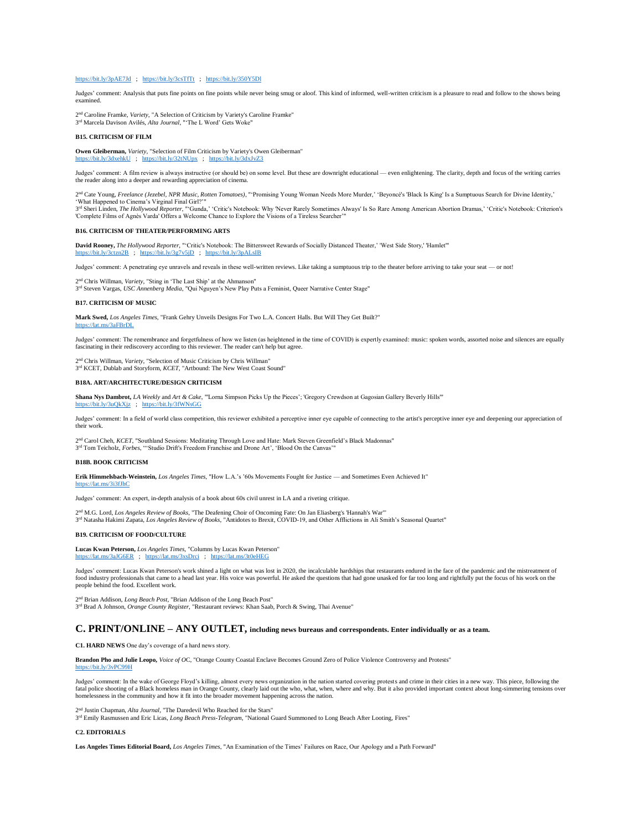## <https://bit.ly/3pAE7Jd>; <https://bit.ly/3csTfTt>; <https://bit.ly/350Y5Dl>

Judges' comment: Analysis that puts fine points on fine points while never being smug or aloof. This kind of informed, well-written criticism is a pleasure to read and follow to the shows being examined.

2<sup>nd</sup> Caroline Framke, *Variety*, "A Selection of Criticism by Variety's Caroline Framke"<br>3<sup>rd</sup> Marcela Davison Avilés, *Alta Journal*, "'The L Word' Gets Woke"

## **B15. CRITICISM OF FILM**

**Owen Gleiberman,** *Variety*, "Selection of Film Criticism by Variety's Owen Gleiberman" <https://bit.ly/3dxehkU>; <https://bit.ly/32tNUpx>; <https://bit.ly/3dxJvZ3>

Judges' comment: A film review is always instructive (or should be) on some level. But these are downright educational — even enlightening. The clarity, depth and focus of the writing carries the reader along into a deeper and rewarding appreciation of cinema.

2<sup>nd</sup> Cate Young, Freelance (Jezebel, NPR Music, Rotten Tomatoes), "'Promising Young Woman Needs More Murder,' 'Beyoncé's 'Black Is King' Is a Sumptuous Search for Divine Identity,' 'What Happened to Cinema's Virginal Final Girl?'"

3<sup>rd</sup> Sheri Linden, *The Hollywood Reporter*, "Gunda, 'Critic's Notebook: Why 'Never Rarely Sometimes Always' Is So Rare Among American Abortion Dramas,' 'Critic's Notebook: Criterion's<br>'Complete Films of Agnès Varda' Offe

## **B16. CRITICISM OF THEATER/PERFORMING ARTS**

David Rooney, *The Hollywood Reporter*, "'Critic's Notebook: The Bittersweet Rewards of Socially Distanced Theater,' 'West Side Story,' 'Hamlet'"<br>https://bit.ly/3ctzn2B ; https://bit.ly/3g7v5jD ; https://bit.ly/3pA

Judges' comment: A penetrating eye unravels and reveals in these well-written reviews. Like taking a sumptuous trip to the theater before arriving to take your seat — or not!

2 nd Chris Willman, *Variety*, "Sting in 'The Last Ship' at the Ahmanson" 3 rd Steven Vargas, *USC Annenberg Media*, "Qui Nguyen's New Play Puts a Feminist, Queer Narrative Center Stage"

#### **B17. CRITICISM OF MUSIC**

**Mark Swed,** *Los Angeles Times*, "Frank Gehry Unveils Designs For Two L.A. Concert Halls. But Will They Get Built?" s/3aFBrDl

Judges' comment: The remembrance and forgetfulness of how we listen (as heightened in the time of COVID) is expertly examined: music: spoken words, assorted noise and silences are equally fascinating in their rediscovery according to this reviewer. The reader can't help but agree.

2<sup>nd</sup> Chris Willman, *Variety*, "Selection of Music Criticism by Chris Willman"<br>3<sup>rd</sup> KCET, Dublab and Storyform, *KCET*, "Artbound: The New West Coast Sound"

#### **B18A. ART/ARCHITECTURE/DESIGN CRITICISM**

**Shana Nys Dambrot,** *LA Weekly* and *Art & Cake*, "'Lorna Simpson Picks Up the Pieces'; 'Gregory Crewdson at Gagosian Gallery Beverly Hills'" <https://bit.ly/3uQkXjz>; <https://bit.ly/3fWNsGG>

Judges' comment: In a field of world class competition, this reviewer exhibited a perceptive inner eye capable of connecting to the artist's perceptive inner eye and deepening our appreciation of their work.

2<sup>nd</sup> Carol Cheh, *KCET*, "Southland Sessions: Meditating Through Love and Hate: Mark Steven Greenfield's Black Madonnas" 3 rd Tom Teicholz, *Forbes*, "'Studio Drift's Freedom Franchise and Drone Art', 'Blood On the Canvas'"

### **B18B. BOOK CRITICISM**

**Erik Himmelsbach-Weinstein,** *Los Angeles Times*, "How L.A.'s '60s Movements Fought for Justice — and Sometimes Even Achieved It" https://lat.ms/3i3fJh

Judges' comment: An expert, in-depth analysis of a book about 60s civil unrest in LA and a riveting critique.

2 nd M.G. Lord, *Los Angeles Review of Books*, "The Deafening Choir of Oncoming Fate: On Jan Eliasberg's 'Hannah's War'"

3 rd Natasha Hakimi Zapata, *Los Angeles Review of Books*, "Antidotes to Brexit, COVID-19, and Other Afflictions in Ali Smith's Seasonal Quartet"

## **B19. CRITICISM OF FOOD/CULTURE**

**Lucas Kwan Peterson,** *Los Angeles Times*, "Columns by Lucas Kwan Peterson" <https://lat.ms/3aJG6ER>; <https://lat.ms/3xsDrci>; <https://lat.ms/3t0eHEG>

Judges' comment: Lucas Kwan Peterson's work shined a light on what was lost in 2020, the incalculable hardships that restaurants endured in the face of the pandemic and the mistreatment of food industry professionals that came to a head last year. His voice was powerful. He asked the questions that had gone unasked for far too long and rightfully put the focus of his work on the people behind the food. Excellent work.

2<sup>nd</sup> Brian Addison, *Long Beach Post*, "Brian Addison of the Long Beach Post"<br><sup>3rd</sup> Brad A Johnson, *Orange County Register*, "Restaurant reviews: Khan Saab, Porch & Swing, Thai Avenue"

## **C. PRINT/ONLINE – ANY OUTLET, including news bureaus and correspondents. Enter individually or as a team.**

**C1. HARD NEWS** One day's coverage of a hard news story.

**Brandon Pho and Julie Leopo,** *Voice of O*C, "Orange County Coastal Enclave Becomes Ground Zero of Police Violence Controversy and Protests" <https://bit.ly/3vPC99H>

Judges' comment: In the wake of George Floyd's killing, almost every news organization in the nation started covering protests and crime in their cities in a new way. This piece, following the<br>fatal police shooting of a Bl homelessness in the community and how it fit into the broader movement happening across the nation.

2 nd Justin Chapman, *Alta Journal*, "The Daredevil Who Reached for the Stars" 3 rd Emily Rasmussen and Eric Licas, *Long Beach Press-Telegram*, "National Guard Summoned to Long Beach After Looting, Fires"

## **C2. EDITORIALS**

**Los Angeles Times Editorial Board,** *Los Angeles Times*, "An Examination of the Times' Failures on Race, Our Apology and a Path Forward"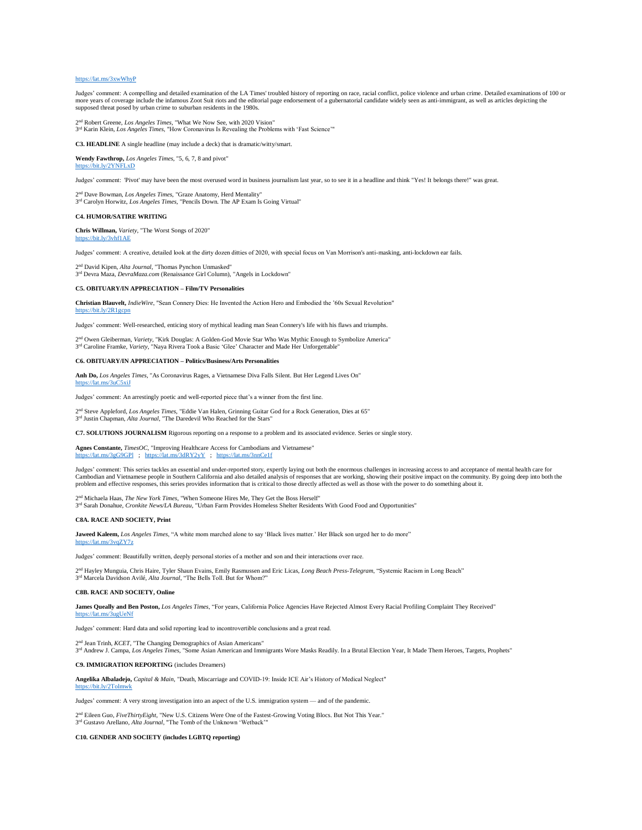#### <https://lat.ms/3xwWhyP>

Judges' comment: A compelling and detailed examination of the LA Times' troubled history of reporting on race, racial conflict, police violence and urban crime. Detailed examinations of 100 or more years of coverage include the infamous Zoot Suit riots and the editorial page endorsement of a gubernatorial candidate widely seen as anti-immigrant, as well as articles depicting the<br>supposed threat posed by urban cr

2 nd Robert Greene, *Los Angeles Times*, "What We Now See, with 2020 Vision" 3 rd Karin Klein, *Los Angeles Times*, "How Coronavirus Is Revealing the Problems with 'Fast Science'"

**C3. HEADLINE** A single headline (may include a deck) that is dramatic/witty/smart.

**Wendy Fawthrop,** *Los Angeles Times*, "5, 6, 7, 8 and pivot" bit.ly/2YNFLxD

Judges' comment: 'Pivot' may have been the most overused word in business journalism last year, so to see it in a headline and think "Yes! It belongs there!" was great.

2 nd Dave Bowman, *Los Angeles Times*, "Graze Anatomy, Herd Mentality" 3 rd Carolyn Horwitz, *Los Angeles Times*, "Pencils Down. The AP Exam Is Going Virtual"

#### **C4. HUMOR/SATIRE WRITI**

**Chris Willman,** *Variety*, "The Worst Songs of 2020" <https://bit.ly/3vhf1AE>

Judges' comment: A creative, detailed look at the dirty dozen ditties of 2020, with special focus on Van Morrison's anti-masking, anti-lockdown ear fails.

2 nd David Kipen, *Alta Journal*, "Thomas Pynchon Unmasked"

3 rd Devra Maza, *DevraMaza.com* (Renaissance Girl Column), "Angels in Lockdown"

## **C5. OBITUARY/IN APPRECIATION – Film/TV Personalities**

**Christian Blauvelt,** *IndieWire*, "Sean Connery Dies: He Invented the Action Hero and Embodied the '60s Sexual Revolution" <https://bit.ly/2R1gcpn>

Judges' comment: Well-researched, enticing story of mythical leading man Sean Connery's life with his flaws and triumphs.

2<sup>nd</sup> Owen Gleiberman, *Variety*, "Kirk Douglas: A Golden-God Movie Star Who Was Mythic Enough to Symbolize America"<br><sup>3rd</sup> Caroline Framke, *Variety*, "Naya Rivera Took a Basic 'Glee' Character and Made Her Unforgettable"

## **C6. OBITUARY/IN APPRECIATION – Politics/Business/Arts Personalities**

**Anh Do,** *Los Angeles Times*, "As Coronavirus Rages, a Vietnamese Diva Falls Silent. But Her Legend Lives On"

Judges' comment: An arrestingly poetic and well-reported piece that's a winner from the first line.

2 nd Steve Appleford, *Los Angeles Times*, "Eddie Van Halen, Grinning Guitar God for a Rock Generation, Dies at 65" 3<sup>rd</sup> Justin Chapman, *Alta Journal*, "The Daredevil Who Reached for the Stars"

**C7. SOLUTIONS JOURNALISM** Rigorous reporting on a response to a problem and its associated evidence. Series or single story.

Agnes Constante, *TimesOC*, "Improving Healthcare Access for Cambodians and Vietnamese"<br>https://lat.ms/3gG9GPl ; https://lat.ms/3dRY2yY ; https://lat.ms/3nnCe1f /lat.ms/3dRY2yY ; <https://lat.ms/3nnCe1f>

Judges' comment: This series tackles an essential and under-reported story, expertly laying out both the enormous challenges in increasing access to and acceptance of mental health care for<br>Cambodian and Vietnamese people

2<sup>nd</sup> Michaela Haas, *The New York Times*, "When Someone Hires Me, They Get the Boss Herself"<br><sup>3rd</sup> Sarah Donahue, *Cronkite News/LA Bureau*, "Urban Farm Provides Homeless Shelter Residents With Good Food and Opportunities <sup>d</sup> Michaela Haas, *The New York Times*, "When Someone Hires Me, They Get the Boss Herself"

#### **C8A. RACE AND SOCIETY, Print**

<https://lat.ms/3uC5xiJ>

**Jaweed Kaleem,** *Los Angeles Times*, "A white mom marched alone to say 'Black lives matter.' Her Black son urged her to do more" <https://lat.ms/3vqZY7z>

Judges' comment: Beautifully written, deeply personal stories of a mother and son and their interactions over race.

2 nd Hayley Munguia, Chris Haire, Tyler Shaun Evains, Emily Rasmussen and Eric Licas, *Long Beach Press-Telegram*, "Systemic Racism in Long Beach" 3 rd Marcela Davidson Avilé, *Alta Journal*, "The Bells Toll. But for Whom?"

#### **C8B. RACE AND SOCIETY, Onlin**

**James Queally and Ben Poston,** *Los Angeles Times*, "For years, California Police Agencies Have Rejected Almost Every Racial Profiling Complaint They Received" <https://lat.ms/3ugUeNf>

Judges' comment: Hard data and solid reporting lead to incontrovertible conclusions and a great read.

2<sup>nd</sup> Jean Trinh, *KCET*, "The Changing Demographics of Asian Americans"<br><sup>3rd</sup> Andrew J. Campa, *Los Angeles Times*, "Some Asian American and Immigrants Wore Masks Readily. In a Brutal Election Year, It Made Them Heroes, T

**C9. IMMIGRATION REPORTING** (includes Dreamers)

**Angelika Albaladejo,** *Capital & Main*, "Death, Miscarriage and COVID-19: Inside ICE Air's History of Medical Neglect" <https://bit.ly/2Tolmwk>

Judges' comment: A very strong investigation into an aspect of the U.S. immigration system — and of the pandemic.

2 nd Eileen Guo, *FiveThirtyEight*, "New U.S. Citizens Were One of the Fastest-Growing Voting Blocs. But Not This Year." 3 rd Gustavo Arellano, *Alta Journal*, "The Tomb of the Unknown 'Wetback'"

**C10. GENDER AND SOCIETY (includes LGBTQ reporting)**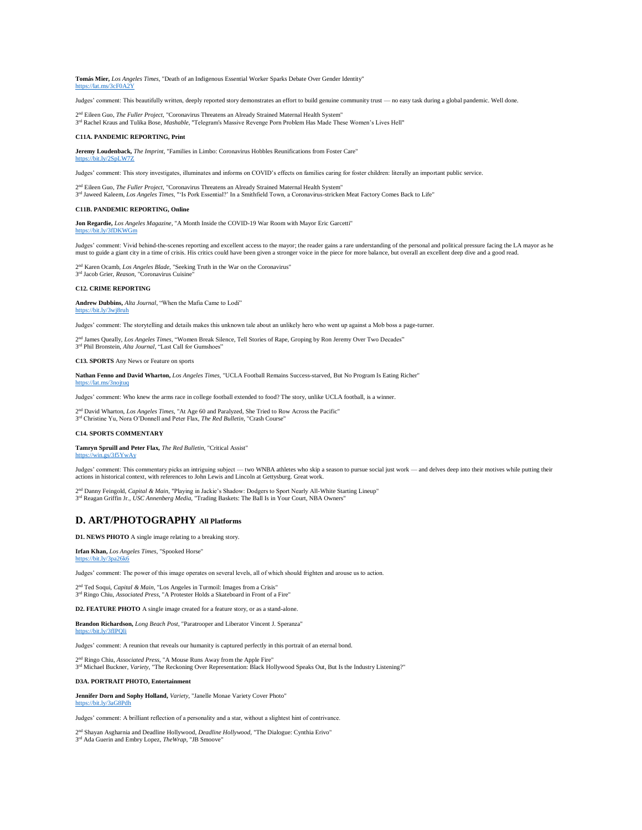**Tomás Mier,** *Los Angeles Times*, "Death of an Indigenous Essential Worker Sparks Debate Over Gender Identity" <https://lat.ms/3cF0A2Y>

Judges' comment: This beautifully written, deeply reported story demonstrates an effort to build genuine community trust — no easy task during a global pandemic. Well done.

2™ Eileen Guo, *The Fuller Project*, "Coronavirus Threatens an Already Strained Maternal Health System"<br>3™ Rachel Kraus and Tulika Bose, *Mashable*, "Telegram's Massive Revenge Porn Problem Has Made These Women's Lives Hel

## **C11A. PANDEMIC REPORTING, Print**

**Jeremy Loudenback,** *The Imprint*, "Families in Limbo: Coronavirus Hobbles Reunifications from Foster Care" <https://bit.ly/2SpLW7Z>

Judges' comment: This story investigates, illuminates and informs on COVID's effects on families caring for foster children: literally an important public service.

2™ Eileen Guo, *The Fuller Project*, "Coronavirus Threatens an Already Strained Maternal Health System"<br>3™ Jaweed Kaleem, *Los Angeles Times*, "'Is Pork Essential?' In a Smithfield Town, a Coronavirus-stricken Meat Factory

## **C11B. PANDEMIC REPORTING, Online**

3 rd Jacob Grier, *Reason*, "Coronavirus Cuisine"

**Jon Regardie,** *Los Angeles Magazine*, "A Month Inside the COVID-19 War Room with Mayor Eric Garcetti" <https://bit.ly/3fDKWGm>

Judges' comment: Vivid behind-the-scenes reporting and excellent access to the mayor; the reader gains a rare understanding of the personal and political pressure facing the LA mayor as he<br>must to guide a giant city in a t

2 nd Karen Ocamb, *Los Angeles Blade*, "Seeking Truth in the War on the Coronavirus"

#### **C12. CRIME REPORTING**

**Andrew Dubbins,** *Alta Journal*, "When the Mafia Came to Lodi"

#### <https://bit.ly/3wj8ruh>

Judges' comment: The storytelling and details makes this unknown tale about an unlikely hero who went up against a Mob boss a page-turner.

2<sup>nd</sup> James Queally, *Los Angeles Times*, "Women Break Silence, Tell Stories of Rape, Groping by Ron Jeremy Over Two Decades"

**C13. SPORTS** Any News or Feature on sports

3 rd Phil Bronstein, *Alta Journal*, "Last Call for Gumshoes"

**Nathan Fenno and David Wharton,** *Los Angeles Times*, "UCLA Football Remains Success-starved, But No Program Is Eating Richer"

<https://lat.ms/3nojtuq>

Judges' comment: Who knew the arms race in college football extended to food? The story, unlike UCLA football, is a winner.

2<sup>nd</sup> David Wharton, *Los Angeles Times*, "At Age 60 and Paralyzed, She Tried to Row Across the Pacific"

3 rd Christine Yu, Nora O'Donnell and Peter Flax, *The Red Bulletin*, "Crash Course"

## **C14. SPORTS COMMENTARY**

**Tamryn Spruill and Peter Flax,** *The Red Bulletin*, "Critical Assist"

s/3f5YwAy

Judges' comment: This commentary picks an intriguing subject — two WNBA athletes who skip a season to pursue social just work — and delves deep into their motives while putting their<br>actions in historical context, with ref

2™ Danny Feingold, *Capital & Main,* "Playing in Jackie's Shadow: Dodgers to Sport Nearly All-White Starting Lineup"<br>3™ Reagan Griffin Jr., *USC Annenberg Media*, "Trading Baskets: The Ball Is in Your Court, NBA Owners"

## **D. ART/PHOTOGRAPHY All Platforms**

**D1. NEWS PHOTO** A single image relating to a breaking story.

**Irfan Khan,** *Los Angeles Times*, "Spooked Horse"

<https://bit.ly/3pa26k6>

Judges' comment: The power of this image operates on several levels, all of which should frighten and arouse us to action.

2 nd Ted Soqui, *Capital & Main*, "Los Angeles in Turmoil: Images from a Crisis" 3 rd Ringo Chiu, *Associated Press*, "A Protester Holds a Skateboard in Front of a Fire"

**D2. FEATURE PHOTO** A single image created for a feature story, or as a stand-alone.

**Brandon Richardson,** *Long Beach Post*, "Paratrooper and Liberator Vincent J. Speranza" <https://bit.ly/3fIPQli>

Judges' comment: A reunion that reveals our humanity is captured perfectly in this portrait of an eternal bond.

2<sup>nd</sup> Ringo Chiu, *Associated Press*, "A Mouse Runs Away from the Apple Fire"<br>3<sup>rd</sup> Michael Buckner, *Variety*, "The Reckoning Over Representation: Black Hollywood Speaks Out, But Is the Industry Listening?"

#### **D3A. PORTRAIT PHOTO, Entertainment**

**Jennifer Dorn and Sophy Holland,** *Variety*, "Janelle Monae Variety Cover Photo" <https://bit.ly/3aG8Pdh>

Judges' comment: A brilliant reflection of a personality and a star, without a slightest hint of contrivance.

2 nd Shayan Asgharnia and Deadline Hollywood, *Deadline Hollywood*, "The Dialogue: Cynthia Erivo" 3 rd Ada Guerin and Embry Lopez, *TheWrap*, "JB Smoove"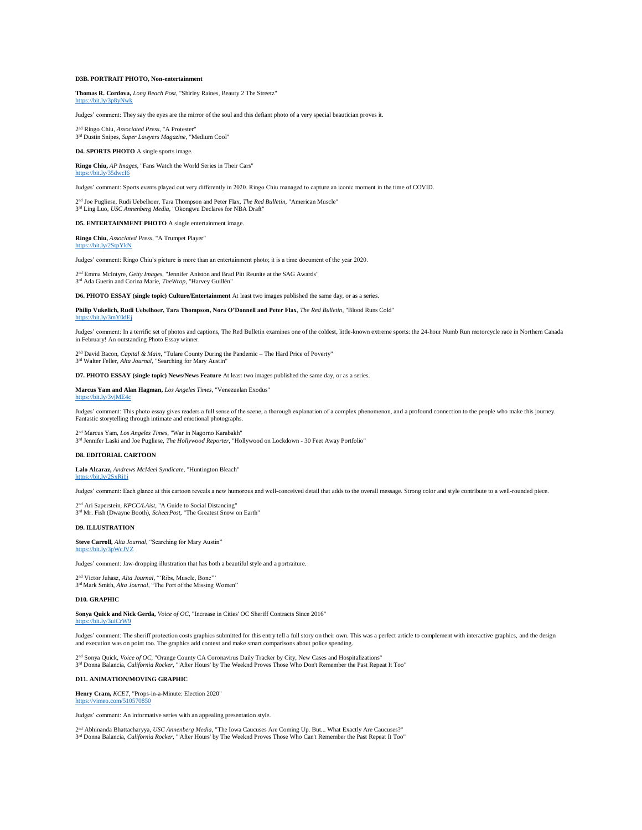### **D3B. PORTRAIT PHOTO, Non-entertainment**

**Thomas R. Cordova,** *Long Beach Post*, "Shirley Raines, Beauty 2 The Streetz" <https://bit.ly/3p8yNwk>

Judges' comment: They say the eyes are the mirror of the soul and this defiant photo of a very special beautician proves it.

2 nd Ringo Chiu, *Associated Press*, "A Protester" 3 rd Dustin Snipes, *Super Lawyers Magazine*, "Medium Cool"

#### **D4. SPORTS PHOTO** A single sports image.

**Ringo Chiu,** *AP Images*, "Fans Watch the World Series in Their Cars"

Judges' comment: Sports events played out very differently in 2020. Ringo Chiu managed to capture an iconic moment in the time of COVID.

2 nd Joe Pugliese, Rudi Uebelhoer, Tara Thompson and Peter Flax, *The Red Bulletin*, "American Muscle" 3<sup>rd</sup> Ling Luo, *USC Annenberg Media*, "Okongwu Declares for NBA Draft"

**D5. ENTERTAINMENT PHOTO** A single entertainment image.

**Ringo Chiu,** *Associated Press*, "A Trumpet Player"

://bit.ly/2StpYkN

<https://bit.ly/35dwcI6>

Judges' comment: Ringo Chiu's picture is more than an entertainment photo; it is a time document of the year 2020.

2 nd Emma McIntyre, *Getty Images*, "Jennifer Aniston and Brad Pitt Reunite at the SAG Awards" 3 rd Ada Guerin and Corina Marie, *TheWrap*, "Harvey Guillén"

**D6. PHOTO ESSAY (single topic) Culture/Entertainment** At least two images published the same day, or as a series.

**Philip Vukelich, Rudi Uebelhoer, Tara Thompson, Nora O'Donnell and Peter Flax**, *The Red Bulletin*, "Blood Runs Cold" /bit.ly/3mY0dEj

Judges' comment: In a terrific set of photos and captions, The Red Bulletin examines one of the coldest, little-known extreme sports: the 24-hour Numb Run motorcycle race in Northern Canada in February! An outstanding Photo Essay winner.

2<sup>nd</sup> David Bacon, *Capital & Main*, "Tulare County During the Pandemic – The Hard Price of Poverty"<br><sup>3rd</sup> Walter Feller, *Alta Journal*, "Searching for Mary Austin"

**D7. PHOTO ESSAY (single topic) News/News Feature** At least two images published the same day, or as a series.

**Marcus Yam and Alan Hagman,** *Los Angeles Times*, "Venezuelan Exodus" <https://bit.ly/3vjME4c>

Judges' comment: This photo essay gives readers a full sense of the scene, a thorough explanation of a complex phenomenon, and a profound connection to the people who make this journey. Fantastic storytelling through intimate and emotional photographs.

2 nd Marcus Yam, *Los Angeles Times*, "War in Nagorno Karabakh" 3 rd Jennifer Laski and Joe Pugliese, *The Hollywood Reporter*, "Hollywood on Lockdown - 30 Feet Away Portfolio"

### **D8. EDITORIAL CARTOON**

**Lalo Alcaraz,** *Andrews McMeel Syndicate*, "Huntington Bleach" <https://bit.ly/2SxRi1i>

Judges' comment: Each glance at this cartoon reveals a new humorous and well-conceived detail that adds to the overall message. Strong color and style contribute to a well-rounded piece.

2 nd Ari Saperstein, *KPCC/LAist*, "A Guide to Social Distancing" 3 rd Mr. Fish (Dwayne Booth), *ScheerPost*, "The Greatest Snow on Earth"

#### **D9. ILLUSTRATION**

**Steve Carroll,** *Alta Journal*, "Searching for Mary Austin" <https://bit.ly/3pWcJVZ>

Judges' comment: Jaw-dropping illustration that has both a beautiful style and a portraiture.

2<sup>nd</sup> Victor Juhasz, *Alta Journal*, "'Ribs, Muscle, Bone'"<br>3<sup>rd</sup> Mark Smith, *Alta Journal*, "The Port of the Missing Women"

#### **D10. GRAPHIC**

**Sonya Quick and Nick Gerda,** *Voice of OC*, "Increase in Cities' OC Sheriff Contracts Since 2016" <https://bit.ly/3uiCrW9>

Judges' comment: The sheriff protection costs graphics submitted for this entry tell a full story on their own. This was a perfect article to complement with interactive graphics, and the design and execution was on point too. The graphics add context and make smart comparisons about police spending.

2<sup>nd</sup> Sonya Quick, *Voice of OC*, "Orange County CA Coronavirus Daily Tracker by City, New Cases and Hospitalizations"<br><sup>3rd</sup> Donna Balancia, *California Rocker*, "'After Hours' by The Weeknd Proves Those Who Don't Remember

### **D11. ANIMATION/MOVING GRAPHIC**

**Henry Cram,** *KCET*, "Props-in-a-Minute: Election 2020" <https://vimeo.com/510570850>

Judges' comment: An informative series with an appealing presentation style.

2<sup>nd</sup> Abhinanda Bhattacharyya, *USC Annenberg Media*, "The Iowa Caucuses Are Coming Up. But... What Exactly Are Caucuses?"<br><sup>3rd</sup> Donna Balancia, *California Rocker*, "'After Hours' by The Weeknd Proves Those Who Can't Reme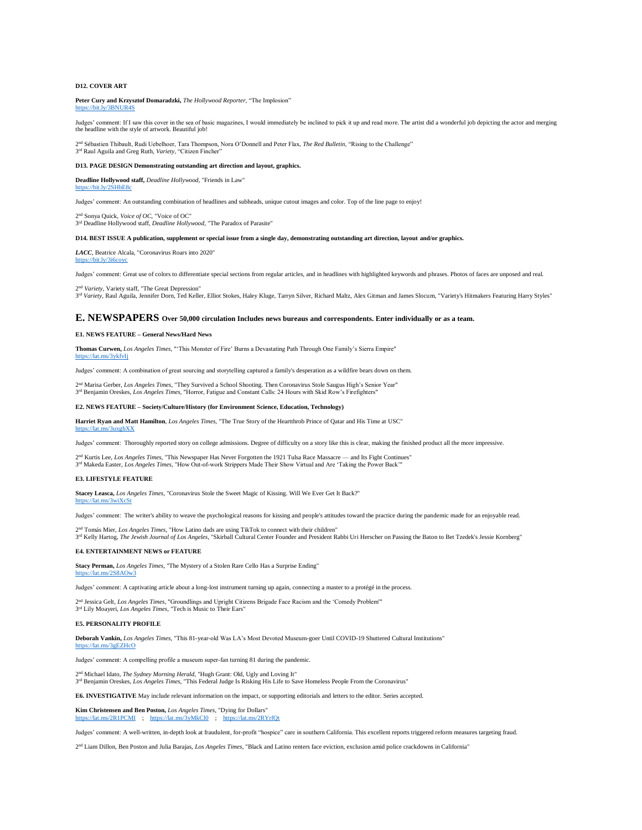## **D12. COVER ART**

<https://bit.ly/3i6coyc>

**Peter Cury and Krzysztof Domaradzki,** *The Hollywood Reporter*, "The Implosion" <https://bit.ly/3BNUR4S>

Judges' comment: If I saw this cover in the sea of basic magazines, I would immediately be inclined to pick it up and read more. The artist did a wonderful job depicting the actor and merging the headline with the style of artwork. Beautiful job!

2 <sup>1</sup> Sébastien Thibault, Rudi Uebelhoer, Tara Thompson, Nora O'Donnell and Peter Flax, The Red Bulletin, "Rising to the Challenge"

## **D13. PAGE DESIGN Demonstrating outstanding art direction and layout, graphics.**

**Deadline Hollywood staff,** *Deadline Hollywood*, "Friends in Law" https://bit.ly/2SHbE8

3 rd Raul Aguila and Greg Ruth, *Variety*, "Citizen Fincher"

Judges' comment: An outstanding combination of headlines and subheads, unique cutout images and color. Top of the line page to enjoy!

<sup>1</sup> Sonya Quick, *Voice of OC*, "Voice of OC"

2<sup>nd</sup> Sonya Quick, *Voice of OC*, "Voice of OC"<br><sup>3rd</sup> Deadline Hollywood staff, *Deadline Hollywood*, "The Paradox of Parasite"

### **D14. BEST ISSUE A publication, supplement or special issue from a single day, demonstrating outstanding art direction, layout and/or graphics.**

*LACC,* Beatrice Alcala, "Coronavirus Roars into 2020"

Judges' comment: Great use of colors to differentiate special sections from regular articles, and in headlines with highlighted keywords and phrases. Photos of faces are unposed and real.

2 nd *Variety,* Variety staff, "The Great Depression" <sup>3rd</sup> Variety, Raul Aguila, Jennifer Dorn, Ted Keller, Elliot Stokes, Haley Kluge, Tarryn Silver, Richard Maltz, Alex Gitman and James Slocum, "Variety's Hitmakers Featuring Harry Styles"

## **E. NEWSPAPERS Over 50,000 circulation Includes news bureaus and correspondents. Enter individually or as a team.**

#### **E1. NEWS FEATURE – General News/Hard News**

**Thomas Curwen,** *Los Angeles Times*, "'This Monster of Fire' Burns a Devastating Path Through One Family's Sierra Empire" <https://lat.ms/3ykfvIj>

Judges' comment: A combination of great sourcing and storytelling captured a family's desperation as a wildfire bears down on them.

2™ Marisa Gerber, *Los Angeles Times*, "They Survived a School Shooting. Then Coronavirus Stole Saugus High's Senior Year"<br>3™ Benjamin Oreskes, *Los Angeles Times*, "Horror, Fatigue and Constant Calls: 24 Hours with Skid R

#### **E2. NEWS FEATURE – Society/Culture/History (for Environment Science, Education, Technology)**

**Harriet Ryan and Matt Hamilton**, *Los Angeles Times*, "The True Story of the Heartthrob Prince of Qatar and His Time at USC"

Judges' comment: Thoroughly reported story on college admissions. Degree of difficulty on a story like this is clear, making the finished product all the more impressive.

2 nd Kurtis Lee, *Los Angeles Times*, "This Newspaper Has Never Forgotten the 1921 Tulsa Race Massacre — and Its Fight Continues" 3<sup>rd</sup> Makeda Easter, *Los Angeles Times*, "How Out-of-work Strippers Made Their Show Virtual and Are 'Taking the Power Back'"

#### **E3. LIFESTYLE FEATURE**

<https://lat.ms/3uxgbXX>

<https://lat.ms/3wiXcSt>

**Stacey Leasca,** *Los Angeles Times*, "Coronavirus Stole the Sweet Magic of Kissing. Will We Ever Get It Back?"

Judges' comment: The writer's ability to weave the psychological reasons for kissing and people's attitudes toward the practice during the pandemic made for an enjoyable read.

2™ Tomás Mier, *Los Angeles Times*, "How Latino dads are using TikTok to connect with their children"<br>3™ Kelly Hartog, *The Jewish Journal of Los Angeles*, "Skirball Cultural Center Founder and President Rabbi Uri Herscher

### **E4. ENTERTAINMENT NEWS or FEATURE**

**Stacy Perman,** *Los Angeles Times*, "The Mystery of a Stolen Rare Cello Has a Surprise Ending"

## <https://lat.ms/2S8AOw3>

Judges' comment: A captivating article about a long-lost instrument turning up again, connecting a master to a protégé in the process.

2<sup>nd</sup> Jessica Gelt, *Los Angeles Times*, "Groundlings and Upright Citizens Brigade Face Racism and the 'Comedy Problem'"<br><sup>3rd</sup> Lily Moayeri, *Los Angeles Times*, "Tech is Music to Their Ears"

## **E5. PERSONALITY PROFILE**

**Deborah Vankin,** *Los Angeles Times*, "This 81-year-old Was LA's Most Devoted Museum-goer Until COVID-19 Shuttered Cultural Institutions" <https://lat.ms/3gEZHcO>

Judges' comment: A compelling profile a museum super-fan turning 81 during the pandemic.

2<sup>nd</sup> Michael Idato, *The Sydney Morning Herald*, "Hugh Grant: Old, Ugly and Loving It"<br><sup>3rd</sup> Benjamin Oreskes, *Los Angeles Times*, "This Federal Judge Is Risking His Life to Save Homeless People From the Coronavirus"

**E6. INVESTIGATIVE** May include relevant information on the impact, or supporting editorials and letters to the editor. Series accepted.

**Kim Christensen and Ben Poston,** *Los Angeles Times*, "Dying for Dollars"<br>https://lat ms/2R1PCMI + https://lat ms/3yMkCl0 + https://lat ms/2RYrfOt lat.ms/2R1PCMI ; <https://lat.ms/3yMkCl0>; https:/

Judges' comment: A well-written, in-depth look at fraudulent, for-profit "hospice" care in southern California. This excellent reports triggered reform measures targeting fraud.

2<sup>nd</sup> Liam Dillon, Ben Poston and Julia Barajas, *Los Angeles Times*, "Black and Latino renters face eviction, exclusion amid police crackdowns in California"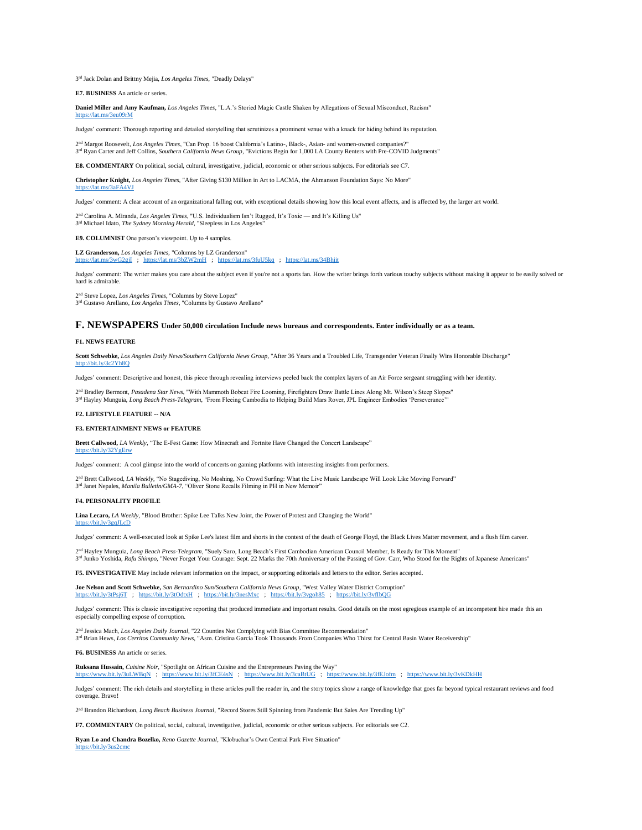3 rd Jack Dolan and Brittny Mejia, *Los Angeles Times*, "Deadly Delays"

**E7. BUSINESS** An article or series.

**Daniel Miller and Amy Kaufman,** *Los Angeles Times*, "L.A.'s Storied Magic Castle Shaken by Allegations of Sexual Misconduct, Racism" <https://lat.ms/3eu09rM>

Judges' comment: Thorough reporting and detailed storytelling that scrutinizes a prominent venue with a knack for hiding behind its reputation.

2 <sup>1</sup> Margot Roosevelt, *Los Angeles Times*, "Can Prop. 16 boost California's Latino-, Black-, Asian- and women-owned compa 3<sup>rd</sup> Ryan Carter and Jeff Collins, *Southern California News Group*, "Evictions Begin for 1,000 LA County Renters with Pre-COVID Judgments"

**E8. COMMENTARY** On political, social, cultural, investigative, judicial, economic or other serious subjects. For editorials see C7.

**Christopher Knight,** *Los Angeles Times*, "After Giving \$130 Million in Art to LACMA, the Ahmanson Foundation Says: No More" t.ms/3aFA4VJ

Judges' comment: A clear account of an organizational falling out, with exceptional details showing how this local event affects, and is affected by, the larger art world.

2<sup>nd</sup> Carolina A. Miranda, *Los Angeles Times*, "U.S. Individualism Isn't Rug<br>3<sup>rd</sup> Michael Idato, *The Sydney Morning Herald*, "Sleepless in Los Angeles" <sup>d</sup> Carolina A. Miranda, *Los Angeles Times*, "U.S. Individualism Isn't Rugged, It's Toxic — and It's Killing Us"

**E9. COLUMNIST** One person's viewpoint. Up to 4 samples.

**LZ Granderson,** *Los Angeles Times*, "Columns by LZ Granderson" <https://lat.ms/3wG2gjI>; <https://lat.ms/3bZW2mH>; <https://lat.ms/3fuU5kq>; <https://lat.ms/34Bhjit>

Judges' comment: The writer makes you care about the subject even if you're not a sports fan. How the writer brings forth various touchy subjects without making it appear to be easily solved or hard is admirable.

2 nd Steve Lopez, *Los Angeles Times*, "Columns by Steve Lopez" 3<sup>rd</sup> Gustavo Arellano, *Los Angeles Times*, "Columns by Gustavo Arellano"

## **F. NEWSPAPERS Under 50,000 circulation Include news bureaus and correspondents. Enter individually or as a team.**

### **F1. NEWS FEATURE**

**Scott Schwebke,** *Los Angeles Daily News/Southern California News Group*, "After 36 Years and a Troubled Life, Transgender Veteran Finally Wins Honorable Discharge"  $\frac{di}{dx}$ ly/3c2Yh8Q

Judges' comment: Descriptive and honest, this piece through revealing interviews peeled back the complex layers of an Air Force sergeant struggling with her identity.

2<sup>nd</sup> Bradley Bermont, *Pasadena Star News*, "With Mammoth Bobcat Fire Looming, Firefighters Draw Battle Lines Along Mt. Wilson's Steep Slopes"<br><sup>3rd</sup> Hayley Munguia, *Long Beach Press-Telegram*, "From Fleeing Cambodia to H

## **F2. LIFESTYLE FEATURE -- N/A**

#### **F3. ENTERTAINMENT NEWS or FEATURE**

**Brett Callwood,** *LA Weekly,* "The E-Fest Game: How Minecraft and Fortnite Have Changed the Concert Landscape" <https://bit.ly/32YgErw>

Judges' comment: A cool glimpse into the world of concerts on gaming platforms with interesting insights from performers.

2<sup>nd</sup> Brett Callwood, *LA Weekly*, "No Stagediving, No Moshing, No Crowd Surfing: What the Live Music Landscape Will Look Like Moving Forward"

3 rd Janet Nepales, *Manila Bulletin/GMA-7*, "Oliver Stone Recalls Filming in PH in New Memoir"

## **F4. PERSONALITY PROFILE**

**Lina Lecaro,** *LA Weekly*, "Blood Brother: Spike Lee Talks New Joint, the Power of Protest and Changing the World" <https://bit.ly/3gqJLcD>

Judges' comment: A well-executed look at Spike Lee's latest film and shorts in the context of the death of George Floyd, the Black Lives Matter movement, and a flush film career.

2 nd Hayley Munguia, *Long Beach Press-Telegram*, "Suely Saro, Long Beach's First Cambodian American Council Member, Is Ready for This Moment" 3<sup>rd</sup> Junko Yoshida, Rafu Shimpo, "Never Forget Your Courage: Sept. 22 Marks the 70th Anniversary of the Passing of Gov. Carr, Who Stood for the Rights of Japanese Americans"

**F5. INVESTIGATIVE** May include relevant information on the impact, or supporting editorials and letters to the editor. Series accepted.

**Joe Nelson and Scott Schwebke,** *San Bernardino Sun/Southern California News Group*, "West Valley Water District Corruption" <https://bit.ly/3tPsj6T>; <https://bit.ly/3tOdtxH>; <https://bit.ly/3nesMxc>; <https://bit.ly/3vgoh85>; <https://bit.ly/3vfIbQG>

Judges' comment: This is classic investigative reporting that produced immediate and important results. Good details on the most egregious example of an incompetent hire made this an especially compelling expose of corruption.

<sup>2nd</sup> Jessica Mach, *Los Angeles Daily Journal*, "22 Counties Not Complying with Bias Committee Recommendation"<br><sup>3rd</sup> Brian Hews, *Los Cerritos Community News*, "Asm. Cristina Garcia Took Thousands From Companies Who Thirs <sup>d</sup> Jessica Mach, *Los Angeles Daily Journal*, "22 Counties Not Complying with Bias Committee Recommendation"

**F6. BUSINESS** An article or series.

**Ruksana Hussain,** *Cuisine Noir*, "Spotlight on African Cuisine and the Entrepreneurs Paving the Way" <https://www.bit.ly/3uLWBqN>; <https://www.bit.ly/3fCE4sN>; <https://www.bit.ly/3caBtUG>; <https://www.bit.ly/3fEJofm>; <https://www.bit.ly/3vKDkHH>

Judges' comment: The rich details and storytelling in these articles pull the reader in, and the story topics show a range of knowledge that goes far beyond typical restaurant reviews and food coverage. Bravo!

2 nd Brandon Richardson, *Long Beach Business Journal*, "Record Stores Still Spinning from Pandemic But Sales Are Trending Up"

**F7. COMMENTARY** On political, social, cultural, investigative, judicial, economic or other serious subjects. For editorials see C2.

**Ryan Lo and Chandra Bozelko,** *Reno Gazette Journal*, "Klobuchar's Own Central Park Five Situation" <https://bit.ly/3us2cmc>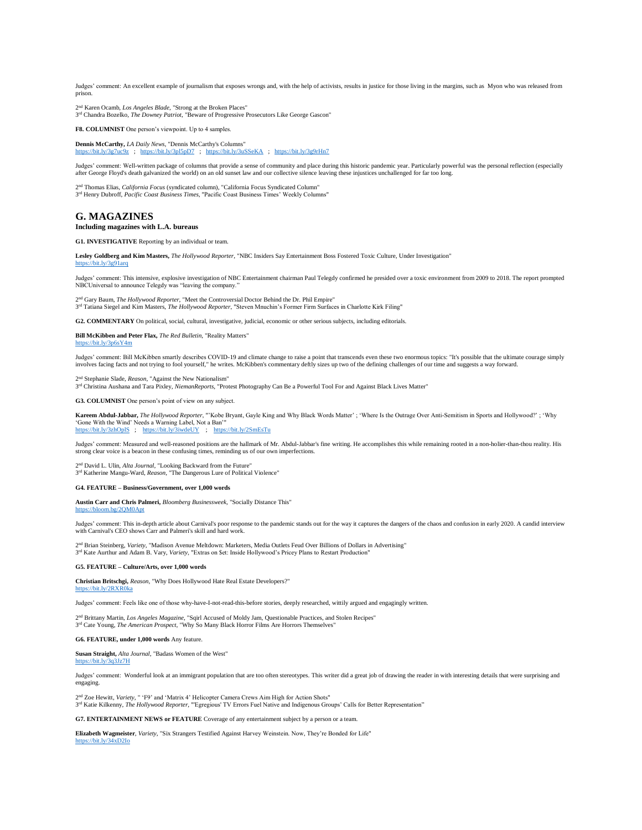Judges' comment: An excellent example of journalism that exposes wrongs and, with the help of activists, results in justice for those living in the margins, such as Myon who was released from prison.

2 nd Karen Ocamb, *Los Angeles Blade*, "Strong at the Broken Places" 3 rd Chandra Bozelko, *The Downey Patriot*, "Beware of Progressive Prosecutors Like George Gascon"

**F8. COLUMNIST** One person's viewpoint. Up to 4 samples.

**Dennis McCarthy,** *LA Daily News*, "Dennis McCarthy's Columns" <https://bit.ly/3g7uc9z>; <https://bit.ly/3pl5pD7>; <https://bit.ly/3uSSeKA>; <https://bit.ly/3g9rHn7>

Judges' comment: Well-written package of columns that provide a sense of community and place during this historic pandemic year. Particularly powerful was the personal reflection (especially after George Floyd's death galvanized the world) on an old sunset law and our collective silence leaving these injustices unchallenged for far too long.

2<sup>nd</sup> Thomas Elias, *California Focus* (syndicated column), "California Focus Syndicated Column"<br>3<sup>rd</sup> Henry Dubroff, *Pacific Coast Business Times*, "Pacific Coast Business Times' Weekly Columns"

## **G. MAGAZINES**

#### **Including magazines with L.A. bureaus**

**G1. INVESTIGATIVE** Reporting by an individual or team.

**Lesley Goldberg and Kim Masters,** *The Hollywood Reporter*, "NBC Insiders Say Entertainment Boss Fostered Toxic Culture, Under Investigation" t $Iv/3g9$ 

Judges' comment: This intensive, explosive investigation of NBC Entertainment chairman Paul Telegdy confirmed he presided over a toxic environment from 2009 to 2018. The report prompted NBCUniversal to announce Telegdy was "leaving the company."

2<sup>nd</sup> Gary Baum, *The Hollywood Reporter*, "Meet the Controversial Doctor Behind the Dr. Phil Empire"<br><sup>3rd</sup> Tatiana Siegel and Kim Masters, *The Hollywood Reporter*, "Steven Mnuchin's Former Firm Surfaces in Charlotte Kirk <sup>1</sup> Gary Baum, *The Hollywood Reporter*, "Meet the Controversial Doctor Behind the Dr. Phil Empire"

**G2. COMMENTARY** On political, social, cultural, investigative, judicial, economic or other serious subjects, including editorials.

**Bill McKibben and Peter Flax,** *The Red Bulletin*, "Reality Matters" <https://bit.ly/3p6sY4m>

Judges' comment: Bill McKibben smartly describes COVID-19 and climate change to raise a point that transcends even these two enormous topics: "It's possible that the ultimate courage simply involves facing facts and not trying to fool yourself," he writes. McKibben's commentary deftly sizes up two of the defining challenges of our time and suggests a way forward.

2 nd Stephanie Slade, *Reason*, "Against the New Nationalism"

3<sup>rd</sup> Christina Aushana and Tara Pixley, *NiemanReports*, "Protest Photography Can Be a Powerful Tool For and Against Black Lives Matter"

**G3. COLUMNIST** One person's point of view on any subject.

**Kareem Abdul-Jabbar,** *The Hollywood Reporter*, "'Kobe Bryant, Gayle King and Why Black Words Matter' ; 'Where Is the Outrage Over Anti-Semitism in Sports and Hollywood?' ; 'Why 'Gone With the Wind' Needs a Warning Label, Not a Ban'" <https://bit.ly/3zhOplS>; <https://bit.ly/3iwdeUY>; <https://bit.ly/2SmEsTu>

Judges' comment: Measured and well-reasoned positions are the hallmark of Mr. Abdul-Jabbar's fine writing. He accomplishes this while remaining rooted in a non-holier-than-thou reality. His strong clear voice is a beacon in these confusing times, reminding us of our own imperfections.

2 nd David L. Ulin, *Alta Journal*, "Looking Backward from the Future" 3 rd Katherine Mangu-Ward, *Reason*, "The Dangerous Lure of Political Violence"

## **G4. FEATURE – Business/Government, over 1,000 words**

**Austin Carr and Chris Palmeri,** *Bloomberg Businessweek*, "Socially Distance This" om.bg/2QM0Apt

Judges' comment: This in-depth article about Carnival's poor response to the pandemic stands out for the way it captures the dangers of the chaos and confusion in early 2020. A candid interview with Carnival's CEO shows Carr and Palmeri's skill and hard work.

2 nd Brian Steinberg, *Variety*, "Madison Avenue Meltdown: Marketers, Media Outlets Feud Over Billions of Dollars in Advertising" 3 rd Kate Aurthur and Adam B. Vary, *Variety*, "Extras on \$et: Inside Hollywood's Pricey Plans to Restart Production"

### **G5. FEATURE – Culture/Arts, over 1,000 words**

**Christian Britschgi,** *Reason*, "Why Does Hollywood Hate Real Estate Developers?"

## <https://bit.ly/2RXR0ka>

Judges' comment: Feels like one of those why-have-I-not-read-this-before stories, deeply researched, wittily argued and engagingly written.

2<sup>nd</sup> Brittany Martin, *Los Angeles Magazine*, "Sqirl Accused of Moldy Jam, Questionable Practices, and Stolen Recipes"<br><sup>3rd</sup> Cate Young, *The American Prospect*, "Why So Many Black Horror Films Are Horrors Themselves"

**G6. FEATURE, under 1,000 words** Any feature.

**Susan Straight,** *Alta Journal*, "Badass Women of the West" <https://bit.ly/3q3Jz7H>

Judges' comment: Wonderful look at an immigrant population that are too often stereotypes. This writer did a great job of drawing the reader in with interesting details that were surprising and engaging.

2 nd Zoe Hewitt, *Variety*, " 'F9' and 'Matrix 4' Helicopter Camera Crews Aim High for Action Shots" 3<sup>rd</sup> Katie Kilkenny, *The Hollywood Reporter*, "'Egregious' TV Errors Fuel Native and Indigenous Groups' Calls for Better Representation"

**G7. ENTERTAINMENT NEWS or FEATURE** Coverage of any entertainment subject by a person or a team.

**Elizabeth Wagmeister**, *Variety*, "Six Strangers Testified Against Harvey Weinstein. Now, They're Bonded for Life" <https://bit.ly/34xD2Io>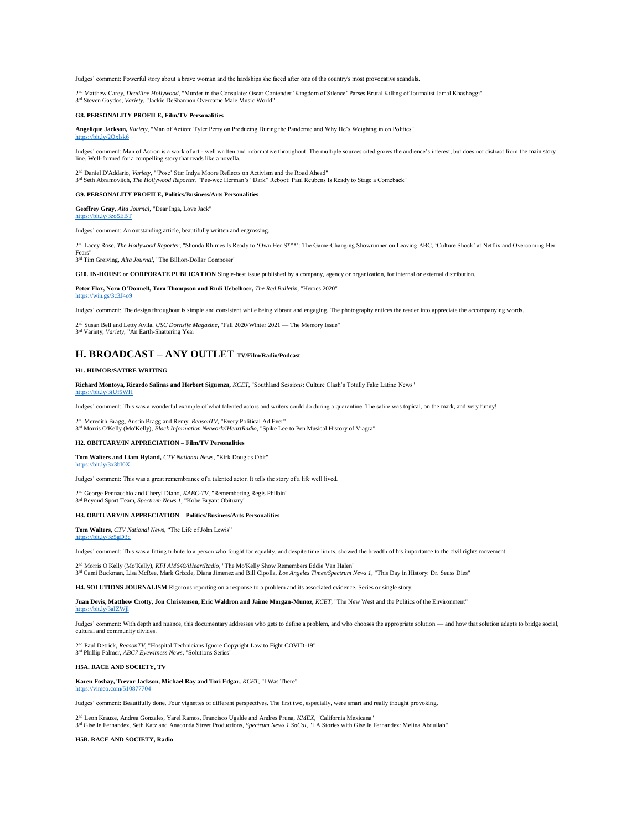Judges' comment: Powerful story about a brave woman and the hardships she faced after one of the country's most provocative scandals.

2<sup>nd</sup> Matthew Carey, *Deadline Hollywood*, "Murder in the Consulate: Oscar Contender 'Kingdom of Silence' Parses Brutal Killing of Journalist Jamal Khashoggi" 3 rd Steven Gaydos, *Variety*, "Jackie DeShannon Overcame Male Music World"

## **G8. PERSONALITY PROFILE, Film/TV Personalities**

**Angelique Jackson,** *Variety*, "Man of Action: Tyler Perry on Producing During the Pandemic and Why He's Weighing in on Politics"  $\frac{dv}{2\alpha}$ kke

Judges' comment: Man of Action is a work of art - well written and informative throughout. The multiple sources cited grows the audience's interest, but does not distract from the main story<br>line. Well-formed for a compell

2™ Daniel D'Addario, *Variety,* "'Pose' Star Indya Moore Reflects on Activism and the Road Ahead"<br><sup>3™</sup> Seth Abramovitch, *The Hollywood Reporter*, "Pee-wee Herman's "Dark" Reboot: Paul Reubens Is Ready to Stage a Comeback"

#### **G9. PERSONALITY PROFILE, Politics/Business/Arts Personalities**

**Geoffrey Gray,** *Alta Journal*, "Dear Inga, Love Jack"  $\sqrt{3}z$ o5EBT

Judges' comment: An outstanding article, beautifully written and engrossing.

2<sup>nd</sup> Lacey Rose, The Hollywood Reporter, "Shonda Rhimes Is Ready to 'Own Her S\*\*\*': The Game-Changing Showrunner on Leaving ABC, 'Culture Shock' at Netflix and Overcoming Her Fears"

3 rd Tim Greiving, *Alta Journal*, "The Billion-Dollar Composer"

**G10. IN-HOUSE or CORPORATE PUBLICATION** Single-best issue published by a company, agency or organization, for internal or external distribution.

## **Peter Flax, Nora O'Donnell, Tara Thompson and Rudi Uebelhoer,** *The Red Bulletin*, "Heroes 2020"

## <https://win.gs/3c3J4o9>

Judges' comment: The design throughout is simple and consistent while being vibrant and engaging. The photography entices the reader into appreciate the accompanying words.

2 nd Susan Bell and Letty Avila, *USC Dornsife Magazine*, "Fall 2020/Winter 2021 — The Memory Issue"

3 rd Variety, *Variety*, "An Earth-Shattering Year"

## **H. BROADCAST – ANY OUTLET TV/Film/Radio/Podcast**

## **H1. HUMOR/SATIRE WRITING**

**Richard Montoya, Ricardo Salinas and Herbert Siguenza,** *KCET*, "Southland Sessions: Culture Clash's Totally Fake Latino News" <https://bit.ly/3tUf5WH>

Judges' comment: This was a wonderful example of what talented actors and writers could do during a quarantine. The satire was topical, on the mark, and very funny!

2 nd Meredith Bragg, Austin Bragg and Remy, *ReasonTV*, "Every Political Ad Ever" 3 rd Morris O'Kelly (Mo'Kelly), *Black Information Network/iHeartRadio*, "Spike Lee to Pen Musical History of Viagra"

### **H2. OBITUARY/IN APPRECIATION – Film/TV Personalities**

**Tom Walters and Liam Hyland,** *CTV National News*, "Kirk Douglas Obit"  $bit.lv/3x3bIOX$ 

Judges' comment: This was a great remembrance of a talented actor. It tells the story of a life well lived.

2<sup>nd</sup> George Pennacchio and Cheryl Diano, *KABC-TV*, "Remembering Regis Philbin"<br><sup>3rd</sup> Beyond Sport Team, *Spectrum News 1*, "Kobe Bryant Obituary"

### **H3. OBITUARY/IN APPRECIATION – Politics/Business/Arts Personalities**

**Tom Walters**, *CTV National News*, "The Life of John Lewis" <https://bit.ly/3z5gD3c>

Judges' comment: This was a fitting tribute to a person who fought for equality, and despite time limits, showed the breadth of his importance to the civil rights movement.

2™ Morris O'Kelly (Mo'Kelly), *KFI AM640/iHeartRadio*, "The Mo'Kelly Show Remembers Eddie Van Halen"<br>3™ Cami Buckman, Lisa McRee, Mark Grizzle, Diana Jimenez and Bill Cipolla, *Los Angeles Times/Spectrum News 1*, "This Day

**H4. SOLUTIONS JOURNALISM** Rigorous reporting on a response to a problem and its associated evidence. Series or single story.

**Juan Devis, Matthew Crotty, Jon Christensen, Eric Waldron and Jaime Morgan-Munoz,** *KCET*, "The New West and the Politics of the Environment" <https://bit.ly/3aIZWjl>

Judges' comment: With depth and nuance, this documentary addresses who gets to define a problem, and who chooses the appropriate solution — and how that solution adapts to bridge social, cultural and community divides.

2 nd Paul Detrick, *ReasonTV*, "Hospital Technicians Ignore Copyright Law to Fight COVID-19" 3 rd Phillip Palmer, *ABC7 Eyewitness News*, "Solutions Series"

## **H5A. RACE AND SOCIETY, TV**

**Karen Foshay, Trevor Jackson, Michael Ray and Tori Edgar,** *KCET*, "I Was There"

<https://vimeo.com/510877704>

Judges' comment: Beautifully done. Four vignettes of different perspectives. The first two, especially, were smart and really thought provoking.

2 nd Leon Krauze, Andrea Gonzales, Yarel Ramos, Francisco Ugalde and Andres Pruna, *KMEX*, "California Mexicana" 3 rd Giselle Fernandez, Seth Katz and Anaconda Street Productions, *Spectrum News 1 SoCal*, "LA Stories with Giselle Fernandez: Melina Abdullah"

### **H5B. RACE AND SOCIETY, Radio**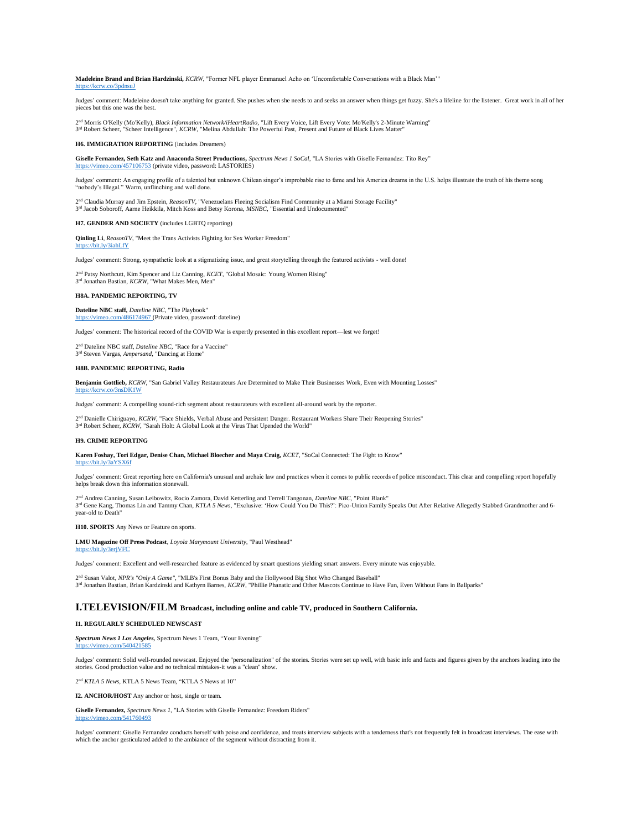**Madeleine Brand and Brian Hardzinski,** *KCRW*, "Former NFL player Emmanuel Acho on 'Uncomfortable Conversations with a Black Man'" <https://kcrw.co/3pdnsuJ>

Judges' comment: Madeleine doesn't take anything for granted. She pushes when she needs to and seeks an answer when things get fuzzy. She's a lifeline for the listener. Great work in all of her pieces but this one was the best.

2 nd Morris O'Kelly (Mo'Kelly), *Black Information Network/iHeartRadio*, "Lift Every Voice, Lift Every Vote: Mo'Kelly's 2-Minute Warning" 3<sup>rd</sup> Robert Scheer, "Scheer Intelligence", *KCRW*, "Melina Abdullah: The Powerful Past, Present and Future of Black Lives Matter"

**H6. IMMIGRATION REPORTING** (includes Dream

**Giselle Fernandez, Seth Katz and Anaconda Street Productions,** *Spectrum News 1 SoCal*, "LA Stories with Giselle Fernandez: Tito Rey" com/457106753 (private video, password: LASTORIES)

Judges' comment: An engaging profile of a talented but unknown Chilean singer's improbable rise to fame and his America dreams in the U.S. helps illustrate the truth of his theme song "nobody's Illegal." Warm, unflinching and well done

2<sup>nd</sup> Claudia Murray and Jim Epstein, *ReasonTV*, "Venezuelans Fleeing Socialism Find Community at a Miami Storage Facility" 3 rd Jacob Soboroff, Aarne Heikkila, Mitch Koss and Betsy Korona, *MSNBC*, "Essential and Undocumented"

**H7. GENDER AND SOCIETY** (includes LGBTQ reporting)

**Qinling Li**, *ReasonTV*, "Meet the Trans Activists Fighting for Sex Worker Freedom" hit.ly/3iahLfY

Judges' comment: Strong, sympathetic look at a stigmatizing issue, and great storytelling through the featured activists - well done!

2<sup>nd</sup> Patsy Northcutt, Kim Spencer and Liz Canning, *KCET*, "Global Mosaic: Young Women Rising"<br><sup>3rd</sup> Jonathan Bastian, *KCRW*, "What Makes Men, Men"

## **H8A. PANDEMIC REPORTING, TV**

**Dateline NBC staff,** *Dateline NBC*, "The Playbook" <https://vimeo.com/486174967> (Private video, password: dateline)

Judges' comment: The historical record of the COVID War is expertly presented in this excellent report—lest we forget!

2 nd Dateline NBC staff, *Dateline NBC*, "Race for a Vaccine" 3 rd Steven Vargas, *Ampersand*, "Dancing at Home"

### **H8B. PANDEMIC REPORTING, Radio**

**Benjamin Gottlieb,** *KCRW*, "San Gabriel Valley Restaurateurs Are Determined to Make Their Businesses Work, Even with Mounting Losses"

Judges' comment: A compelling sound-rich segment about restaurateurs with excellent all-around work by the reporter.

2<sup>nd</sup> Danielle Chiriguayo, KCRW, "Face Shields, Verbal Abuse and Persistent Danger. Restaurant Workers Share Their Reopening Stories" 3<sup>rd</sup> Robert Scheer, *KCRW*, "Sarah Holt: A Global Look at the Virus That Upended the World"

#### **H9. CRIME REPORTING**

<https://kcrw.co/3nsDK1W>

**Karen Foshay, Tori Edgar, Denise Chan, Michael Bloecher and Maya Craig,** *KCET*, "SoCal Connected: The Fight to Know" <https://bit.ly/3aYSX6f>

Judges' comment: Great reporting here on California's unusual and archaic law and practices when it comes to public records of police misconduct. This clear and compelling report hopefully helps break down this information stonewall.

2<sup>nd</sup> Andrea Canning, Susan Leibowitz, Rocio Zamora, David Ketterling and Terrell Tangonan, *Dateline NBC, "P*oint Blank"<br>3<sup>nd</sup> Gene Kang, Thomas Lin and Tammy Chan, *KTLA 5 News*, "Exclusive: 'How Could You Do This?': Pic nd Andrea Canning, Susan Leibowitz, Rocio Zamora, David Ketterling and Terrell Tangonan, *Dateline NBC,* "Point Blank" year-old to Death"

**H10. SPORTS** Any News or Feature on sports.

**LMU Magazine Off Press Podcast**, *Loyola Marymount University*, "Paul Westhead" <https://bit.ly/3erjVFC>

Judges' comment: Excellent and well-researched feature as evidenced by smart questions yielding smart answers. Every minute was enjoyable.

2™ Susan Valot, *NPR's "Only A Game",* "MLB's First Bonus Baby and the Hollywood Big Shot Who Changed Baseball"<br>3™ Jonathan Bastian, Brian Kardzinski and Kathyrn Barnes, *KCRW*, "Phillie Phanatic and Other Mascots Continue

## **I.TELEVISION/FILM Broadcast, including online and cable TV, produced in Southern California.**

## **I1. REGULARLY SCHEDULED NEWSCAST**

*Spectrum News 1 Los Angeles,* Spectrum News 1 Team*,* "Your Evening" <https://vimeo.com/540421585>

Judges' comment: Solid well-rounded newscast. Enjoyed the "personalization" of the stories. Stories were set up well, with basic info and facts and figures given by the anchors leading into the stories. Good production val

2 nd *KTLA 5 News,* KTLA 5 News Team*,* "KTLA 5 News at 10"

**I2. ANCHOR/HOST** Any anchor or host, single or team.

**Giselle Fernandez,** *Spectrum News 1*, "LA Stories with Giselle Fernandez: Freedom Riders" <https://vimeo.com/541760493>

Judges' comment: Giselle Fernandez conducts herself with poise and confidence, and treats interview subjects with a tenderness that's not frequently felt in broadcast interviews. The ease with which the anchor gesticulated added to the ambiance of the segment without distracting from it.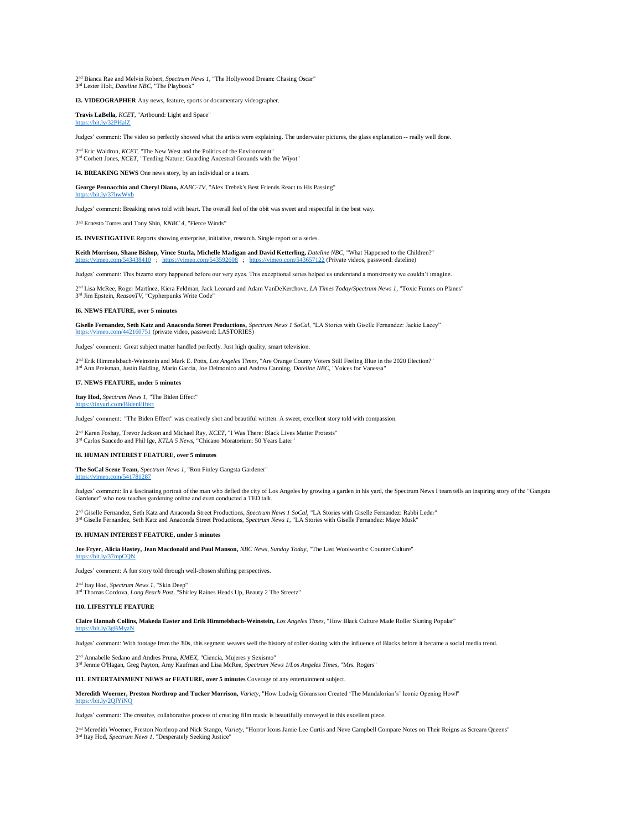2 nd Bianca Rae and Melvin Robert, *Spectrum News 1*, "The Hollywood Dream: Chasing Oscar" 3<sup>rd</sup> Lester Holt, *Dateline NBC*, "The Playbook"

**I3. VIDEOGRAPHER** Any news, feature, sports or documentary videographer.

**Travis LaBella,** *KCET*, "Artbound: Light and Space" <https://bit.ly/32PHalZ>

Judges' comment: The video so perfectly showed what the artists were explaining. The underwater pictures, the glass explanation -- really well done.

2<sup>nd</sup> Eric Waldron, *KCET*, "The New West and the Politics of the Environment"<br>3<sup>rd</sup> Corbett Jones, *KCET*, "Tending Nature: Guarding Ancestral Grounds with the Wiyot"

**I4. BREAKING NEWS** One news story, by an individual or a team.

**George Pennacchio and Cheryl Diano,** *KABC-TV*, "Alex Trebek's Best Friends React to His Passing" <https://bit.ly/37hwWxb>

Judges' comment: Breaking news told with heart. The overall feel of the obit was sweet and respectful in the best way.

2 nd Ernesto Torres and Tony Shin, *KNBC 4*, "Fierce Winds"

**I5. INVESTIGATIVE** Reports showing enterprise, initiative, research. Single report or a series.

Keith Morrison, Shane Bishop, Vince Sturla, Michelle Madigan and David Ketterling, *Dateline NBC*, "What Happened to the Children?" <https://vimeo.com/543438410>; <https://vimeo.com/543592608>; <https://vimeo.com/543657122> (Private videos, password: dateline)

Judges' comment: This bizarre story happened before our very eyes. This exceptional series helped us understand a monstrosity we couldn't imagine.

2 nd Lisa McRee, Roger Martínez, Kiera Feldman, Jack Leonard and Adam VanDeKerchove, *LA Times Today/Spectrum News 1*, "Toxic Fumes on Planes" 3 rd Jim Epstein, *ReasonTV*, "Cypherpunks Write Code"

## **I6. NEWS FEATURE, over 5 minutes**

**Giselle Fernandez, Seth Katz and Anaconda Street Productions,** *Spectrum News 1 SoCal*, "LA Stories with Giselle Fernandez: Jackie Lacey" <https://vimeo.com/442160751> (private video, password: LASTORIES)

Judges' comment: Great subject matter handled perfectly. Just high quality, smart television.

2<sup>nd</sup> Erik Himmelsbach-Weinstein and Mark E. Potts, *Los Angeles Times*, "Are Orange County Voters Still Feeling Blue in the 2020 Election?"<br>3<sup>rd</sup> Ann Preisman, Justin Balding, Mario Garcia, Joe Delmonico and Andrea Cannin

#### **I7. NEWS FEATURE, under 5 minutes**

**Itay Hod,** *Spectrum News 1*, "The Biden Effect" <https://tinyurl.com/BidenEffect>

Judges' comment: "The Biden Effect" was creatively shot and beautiful written. A sweet, excellent story told with compassion.

2<sup>nd</sup> Karen Foshay, Trevor Jackson and Michael Ray, *KCET*, "I Was There: Black Lives Matter Protests"<br>3<sup>rd</sup> Carlos Saucedo and Phil Ige, *KTLA 5 News*, "Chicano Moratorium: 50 Years Later"

### **I8. HUMAN INTEREST FEATURE, over 5 minutes**

**The SoCal Scene Team,** *Spectrum News 1*, "Ron Finley Gangsta Gardener" <https://vimeo.com/541781287>

Judges' comment: In a fascinating portrait of the man who defied the city of Los Angeles by growing a garden in his yard, the Spectrum News I team tells an inspiring story of the "Gangsta<br>Gardener" who now teaches gardenin

2 nd Giselle Fernandez, Seth Katz and Anaconda Street Productions, *Spectrum News 1 SoCal*, "LA Stories with Giselle Fernandez: Rabbi Leder" 3 rd Giselle Fernandez, Seth Katz and Anaconda Street Productions, *Spectrum News 1*, "LA Stories with Giselle Fernandez: Maye Musk"

## **I9. HUMAN INTEREST FEATURE, under 5 minutes**

**Joe Fryer, Alicia Hastey, Jean Macdonald and Paul Manson,** *NBC News, Sunday Today*, "The Last Woolworths: Counter Culture" <https://bit.ly/37mpCQN>

Judges' comment: A fun story told through well-chosen shifting perspectives.

2<sup>nd</sup> Itay Hod, *Spectrum News 1*, "Skin Deep"<br>3<sup>rd</sup> Thomas Cordova, *Long Beach Post*, "Shirley Raines Heads Up, Beauty 2 The Streetz"

## **I10. LIFESTYLE FEATURE**

**Claire Hannah Collins, Makeda Easter and Erik Himmelsbach-Weinstein,** *Los Angeles Times*, "How Black Culture Made Roller Skating Popular" <https://bit.ly/3gBMyzN>

Judges' comment: With footage from the '80s, this segment weaves well the history of roller skating with the influence of Blacks before it became a social media trend.

2 nd Annabelle Sedano and Andres Pruna, *KMEX*, "Ciencia, Mujeres y Sexismo" 3 rd Jennie O'Hagan, Greg Payton, Amy Kaufman and Lisa McRee, *Spectrum News 1/Los Angeles Times*, "Mrs. Rogers"

**I11. ENTERTAINMENT NEWS or FEATURE, over 5 minutes** Coverage of any entertainment subject.

**Meredith Woerner, Preston Northrop and Tucker Morrison,** *Variety*, "How Ludwig Göransson Created 'The Mandalorian's' Iconic Opening Howl" /bit.ly/2QIYiNC

Judges' comment: The creative, collaborative process of creating film music is beautifully conveyed in this excellent piece.

2<sup>nd</sup> Meredith Woerner, Preston Northrop and Nick Stango, *Variety*, "Horror Icons Jamie Lee Curtis and Neve Campbell Compare Notes on Their Reigns as Scream Queens"<br><sup>3rd</sup> Itay Hod, *Spectrum News 1*, "Desperately Seeking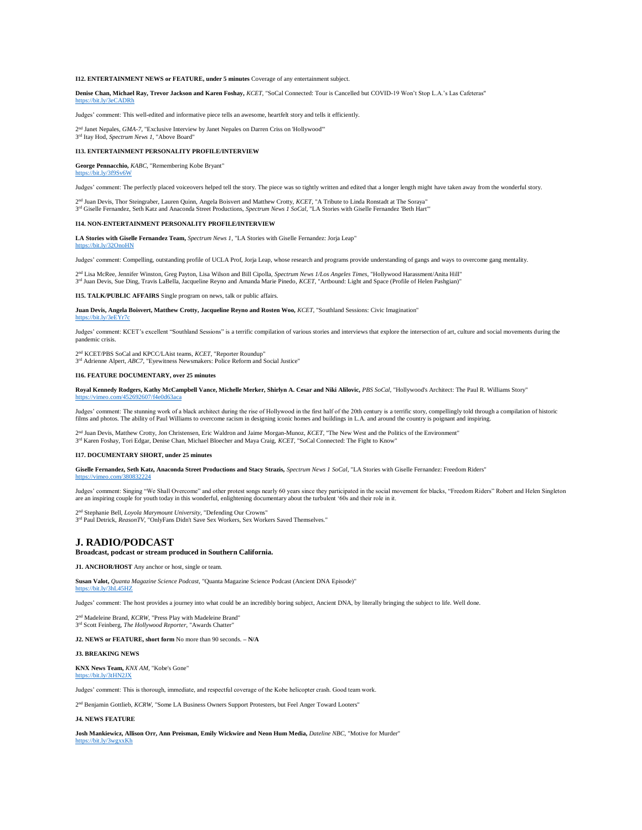## **I12. ENTERTAINMENT NEWS or FEATURE, under 5 minutes** Coverage of any entertainment subject.

**Denise Chan, Michael Ray, Trevor Jackson and Karen Foshay,** *KCET*, "SoCal Connected: Tour is Cancelled but COVID-19 Won't Stop L.A.'s Las Cafeteras" <https://bit.ly/3eCADRh>

Judges' comment: This well-edited and informative piece tells an awesome, heartfelt story and tells it efficiently.

2<sup>nd</sup> Janet Nepales, *GMA-7*, "Exclusive Interview by Janet Nepales on Darren Criss on 'Hollywood'''<br>3<sup>rd</sup> Itay Hod, *Spectrum News 1*, "Above Board"

#### **I13. ENTERTAINMENT PERSONALITY PROFILE/INTERVIEW**

**George Pennacchio,** *KABC*, "Remembering Kobe Bryant"

#### it.ly/3f9Sv6W

Judges' comment: The perfectly placed voiceovers helped tell the story. The piece was so tightly written and edited that a longer length might have taken away from the wonderful story.

2nd Juan Devis, Thor Steingraber, Lauren Quinn, Angela Boisvert and Matthew Crotty, *KCET*, "A Tribute to Linda Ronstadt at The Soraya"<br>3<sup>rd</sup> Giselle Fernandez, Seth Katz and Anaconda Street Productions, S*pectrum News 1 S* 

#### **I14. NON-ENTERTAINMENT PERSONALITY PROFILE/INTERVIEW**

**LA Stories with Giselle Fernandez Team,** *Spectrum News 1*, "LA Stories with Giselle Fernandez: Jorja Leap"

#### <https://bit.ly/32OnoHN>

Judges' comment: Compelling, outstanding profile of UCLA Prof, Jorja Leap, whose research and programs provide understanding of gangs and ways to overcome gang mentality.

2<sup>nd</sup> Lisa McRee, Jennifer Winston, Greg Payton, Lisa Wilson and Bill Cipolla, *Spectrum News 1/Los Angeles Times*, "Hollywood Harassment/Anita Hill"<br><sup>3rd</sup> Juan Devis, Sue Ding, Travis LaBella, Jacqueline Reyno and Amanda

**I15. TALK/PUBLIC AFFAIRS** Single program on news, talk or public affairs.

**Juan Devis, Angela Boisvert, Matthew Crotty, Jacqueline Reyno and Rosten Woo,** *KCET*, "Southland Sessions: Civic Imagination" <https://bit.ly/3eEYr7c>

Judges' comment: KCET's excellent "Southland Sessions" is a terrific compilation of various stories and interviews that explore the intersection of art, culture and social movements during the pandemic crisis.

2<sup>nd</sup> KCET/PBS SoCal and KPCC/LAist teams, *KCET*, "Reporter Roundup"<br><sup>3rd</sup> Adrienne Alpert, *ABC7*, "Eyewitness Newsmakers: Police Reform and Social Justice"

#### **I16. FEATURE DOCUMENTARY, over 25 minutes**

**Royal Kennedy Rodgers, Kathy McCampbell Vance, Michelle Merker, Shirlyn A. Cesar and Niki Alilovic,** *PBS SoCal*, "Hollywood's Architect: The Paul R. Williams Story" <https://vimeo.com/452692607/f4e0d63aca>

Judges' comment: The stunning work of a black architect during the rise of Hollywood in the first half of the 20th century is a terrific story, compellingly told through a compilation of historic films and photos. The ability of Paul Williams to overcome racism in designing iconic homes and buildings in L.A. and around the country is poignant and inspiring.

2<sup>nd</sup> Juan Devis, Matthew Crotty, Jon Christensen, Eric Waldron and Jaime Morgan-Munoz, *KCET*, "The New West and the Politics of the Environment"<br>3<sup>nd</sup> Karen Foshay, Tori Edgar, Denise Chan, Michael Bloecher and Maya Crai

#### **I17. DOCUMENTARY SHORT, under 25 minutes**

**Giselle Fernandez, Seth Katz, Anaconda Street Productions and Stacy Strazis,** *Spectrum News 1 SoCal*, "LA Stories with Giselle Fernandez: Freedom Riders"

Judges' comment: Singing "We Shall Overcome" and other protest songs nearly 60 years since they participated in the social movement for blacks, "Freedom Riders" Robert and Helen Singleton<br>are an inspiring couple for youth

2 nd Stephanie Bell, *Loyola Marymount University*, "Defending Our Crowns" 3 rd Paul Detrick, *ReasonTV*, "OnlyFans Didn't Save Sex Workers, Sex Workers Saved Themselves."

## **J. RADIO/PODCAST**

<https://vimeo.com/380832224>

## **Broadcast, podcast or stream produced in Southern California.**

**J1. ANCHOR/HOST** Any anchor or host, single or team.

**Susan Valot,** *Quanta Magazine Science Podcast*, "Quanta Magazine Science Podcast (Ancient DNA Episode)" <https://bit.ly/3hL45HZ>

Judges' comment: The host provides a journey into what could be an incredibly boring subject, Ancient DNA, by literally bringing the subject to life. Well done.

2 nd Madeleine Brand, *KCRW*, "Press Play with Madeleine Brand"

3<sup>rd</sup> Scott Feinberg, *The Hollywood Reporter*, "Awards Chatter"

**J2. NEWS or FEATURE, short form** No more than 90 seconds. **– N/A**

### **J3. BREAKING NEWS**

**KNX News Team,** *KNX AM*, "Kobe's Gone" <https://bit.ly/3tHN2JX>

Judges' comment: This is thorough, immediate, and respectful coverage of the Kobe helicopter crash. Good team work.

2<sup>nd</sup> Benjamin Gottlieb, *KCRW*, "Some LA Business Owners Support Protesters, but Feel Anger Toward Looters"

## **J4. NEWS FEATURE**

**Josh Mankiewicz, Allison Orr, Ann Preisman, Emily Wickwire and Neon Hum Media,** *Dateline NBC*, "Motive for Murder" <https://bit.ly/3wgxxKh>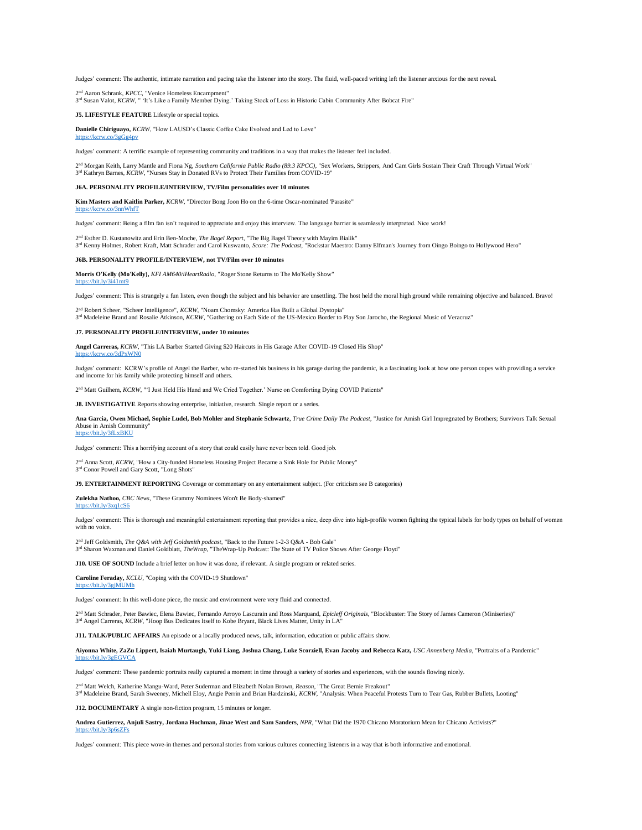Judges' comment: The authentic, intimate narration and pacing take the listener into the story. The fluid, well-paced writing left the listener anxious for the next reveal.

2<sup>nd</sup> Aaron Schrank, *KPCC*, "Venice Homeless Encampment"<br>3<sup>rd</sup> Susan Valot, *KCRW*, " 'It's Like a Family Member Dying.' Taking Stock of Loss in Historic Cabin Community After Bobcat Fire"

**J5. LIFESTYLE FEATURE** Lifestyle or special topics.

**Danielle Chiriguayo,** *KCRW*, "How LAUSD's Classic Coffee Cake Evolved and Led to Love"

## <https://kcrw.co/3gGg4pv>

Judges' comment: A terrific example of representing community and traditions in a way that makes the listener feel included.

2nd Morgan Keith, Larry Mantle and Fiona Ng, Southern California Public Radio (89.3 KPCC), "Sex )<br>3<sup>rd</sup> Kathryn Barnes, *KCRW*, "Nurses Stay in Donated RVs to Protect Their Families from COVID-19" nd Morgan Keith, Larry Mantle and Fiona Ng, *Southern California Public Radio (89.3 KPCC)*, "Sex Workers, Strippers, And Cam Girls Sustain Their Craft Through Virtual Work"

#### **J6A. PERSONALITY PROFILE/INTERVIEW, TV/Film personalities over 10 minutes**

**Kim Masters and Kaitlin Parker,** *KCRW*, "Director Bong Joon Ho on the 6-time Oscar-nominated 'Parasite'"

 $\text{cm} \times \text{co}/\text{3nnWhfT}$ 

Judges' comment: Being a film fan isn't required to appreciate and enjoy this interview. The language barrier is seamlessly interpreted. Nice work!

2 nd Esther D. Kustanowitz and Erin Ben-Moche, *The Bagel Report*, "The Big Bagel Theory with Mayim Bialik" 3 rd Kenny Holmes, Robert Kraft, Matt Schrader and Carol Kuswanto, *Score: The Podcast*, "Rockstar Maestro: Danny Elfman's Journey from Oingo Boingo to Hollywood Hero"

#### **J6B. PERSONALITY PROFILE/INTERVIEW, not TV/Film over 10 minutes**

**Morris O'Kelly (Mo'Kelly),** *KFI AM640/iHeartRadio*, "Roger Stone Returns to The Mo'Kelly Show"

## $bit.lv/3i41mt9$

Judges' comment: This is strangely a fun listen, even though the subject and his behavior are unsettling. The host held the moral high ground while remaining objective and balanced. Bravo!

<sup>d</sup> Robert Scheer, "Scheer Intelligence", *KCRW*, "Noam Chomsky: America Has Built a Global Dystopia"

2™ Robert Scheer, "Scheer Intelligence", *KCRW*, "Noam Chomsky: America Has Built a Global Dystopia"<br>3™ Madeleine Brand and Rosalie Atkinson, *KCRW*, "Gathering on Each Side of the US-Mexico Border to Play Son Jarocho, the

#### **J7. PERSONALITY PROFILE/INTERVIEW, under 10 minutes**

**Angel Carreras,** *KCRW*, "This LA Barber Started Giving \$20 Haircuts in His Garage After COVID-19 Closed His Shop"

## <https://kcrw.co/3dPxWN0>

Judges' comment: KCRW's profile of Angel the Barber, who re-started his business in his garage during the pandemic, is a fascinating look at how one person copes with providing a service and income for his family while protecting himself and others.

2<sup>nd</sup> Matt Guilhem, *KCRW*, "'I Just Held His Hand and We Cried Together.' Nurse on Comforting Dying COVID Patients"

**J8. INVESTIGATIVE** Reports showing enterprise, initiative, research. Single report or a series.

**Ana Garcia, Owen Michael, Sophie Ludel, Bob Mohler and Stephanie Schwartz**, *True Crime Daily The Podcast*, "Justice for Amish Girl Impregnated by Brothers; Survivors Talk Sexual Abuse in Amish Community" <https://bit.ly/3fLxBKU>

Judges' comment: This a horrifying account of a story that could easily have never been told. Good job.

2<sup>nd</sup> Anna Scott, *KCRW*, "How a City-funded Homeless Housing Project Became a Sink Hole for Public Money" 3<sup>rd</sup> Conor Powell and Gary Scott, "Long Shots"

**J9. ENTERTAINMENT REPORTING** Coverage or commentary on any entertainment subject. (For criticism see B categories)

**Zulekha Nathoo,** *CBC News*, "These Grammy Nominees Won't Be Body-shamed" <https://bit.ly/3xq1cS6>

Judges' comment: This is thorough and meaningful entertainment reporting that provides a nice, deep dive into high-profile women fighting the typical labels for body types on behalf of women with no voice.

2<sup>nd</sup> Jeff Goldsmith, *The Q&A with Jeff Goldsmith podcast,* "Back to the Future 1-2-3 Q&A - Bob Gale"<br><sup>3rd</sup> Sharon Waxman and Daniel Goldblatt, *TheWrap*, "TheWrap-Up Podcast: The State of TV Police Shows After George Flo

**J10. USE OF SOUND** Include a brief letter on how it was done, if relevant. A single program or related series.

**Caroline Feraday,** *KCLU*, "Coping with the COVID-19 Shutdown" https://bit.ly/3giMUMh

Judges' comment: In this well-done piece, the music and environment were very fluid and connected.

2 nd Matt Schrader, Peter Bawiec, Elena Bawiec, Fernando Arroyo Lascurain and Ross Marquand, *Epicleff Originals*, "Blockbuster: The Story of James Cameron (Miniseries)" 3<sup>rd</sup> Angel Carreras, *KCRW*, "Hoop Bus Dedicates Itself to Kobe Bryant, Black Lives Matter, Unity in LA"

**J11. TALK/PUBLIC AFFAIRS** An episode or a locally produced news, talk, information, education or public affairs show.

**Aiyonna White, ZaZu Lippert, Isaiah Murtaugh, Yuki Liang, Joshua Chang, Luke Scorziell, Evan Jacoby and Rebecca Katz,** *USC Annenberg Media*, "Portraits of a Pandemic"  $k$ ://bit.ly/3gEGVCA

Judges' comment: These pandemic portraits really captured a moment in time through a variety of stories and experiences, with the sounds flowing nicely.

2™ Matt Welch, Katherine Mangu-Ward, Peter Suderman and Elizabeth Nolan Brown, *Reason*, "The Great Bernie Freakout"<br>3™ Madeleine Brand, Sarah Sweeney, Michell Eloy, Angie Perrin and Brian Hardzinski, *KCRW*, "Analysis: Wh

**J12. DOCUMENTARY** A single non-fiction program, 15 minutes or longer.

**Andrea Gutierrez, Anjuli Sastry, Jordana Hochman, Jinae West and Sam Sanders**, *NPR*, "What Did the 1970 Chicano Moratorium Mean for Chicano Activists?" https://bit.ly/3p6sZ

Judges' comment: This piece wove-in themes and personal stories from various cultures connecting listeners in a way that is both informative and emotional.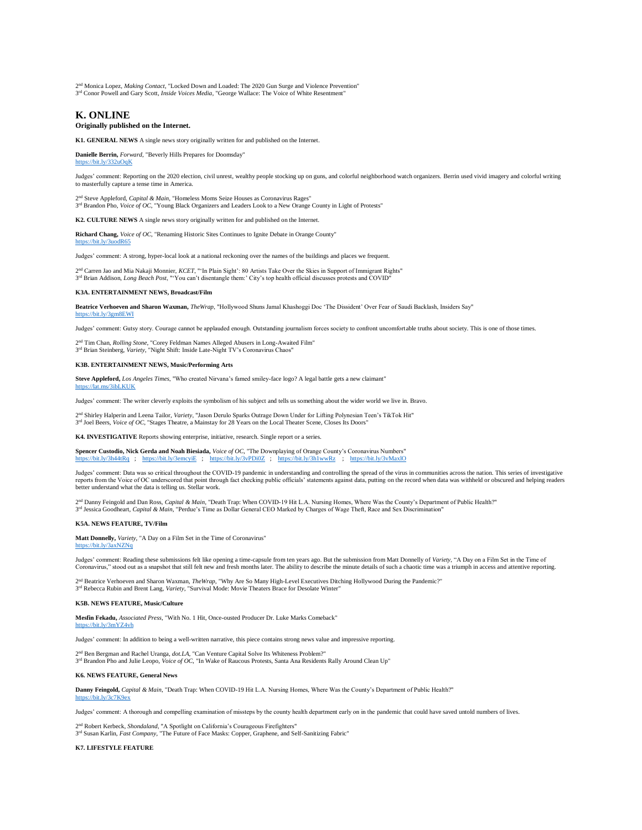2<sup>nd</sup> Monica Lopez, *Making Contact*, "Locked Down and Loaded: The 2020 Gun Surge and Violence Prevention" 3<sup>rd</sup> Conor Powell and Gary Scott, *Inside Voices Media*, "George Wallace: The Voice of White Resentment"

## **K. ONLINE**

## **Originally published on the Internet.**

**K1. GENERAL NEWS** A single news story originally written for and published on the Internet.

**Danielle Berrin,** *Forward*, "Beverly Hills Prepares for Doomsday" <https://bit.ly/332uOqK>

Judges' comment: Reporting on the 2020 election, civil unrest, wealthy people stocking up on guns, and colorful neighborhood watch organizers. Berrin used vivid imagery and colorful writing to masterfully capture a tense time in America.

2<sup>nd</sup> Steve Appleford, *Capital & Main*, "Homeless Moms Seize Houses as Coronavirus Rages"<br><sup>3rd</sup> Brandon Pho, *Voice of OC*, "Young Black Organizers and Leaders Look to a New Orange County in Light of Protests"

**K2. CULTURE NEWS** A single news story originally written for and published on the Internet.

**Richard Chang,** *Voice of OC*, "Renaming Historic Sites Continues to Ignite Debate in Orange County" <https://bit.ly/3uodR65>

Judges' comment: A strong, hyper-local look at a national reckoning over the names of the buildings and places we frequent.

2™ Carren Jao and Mia Nakaji Monnier, *KCET*, "'In Plain Sight': 80 Artists Take Over the Skies in Support of Immigrant Rights"<br>3™ Brian Addison, *Long Beach Post*, "'You can't disentangle them:' City's top health official

#### **K3A. ENTERTAINMENT NEWS, Broadcast/Film**

**Beatrice Verhoeven and Sharon Waxman,** *TheWrap*, "Hollywood Shuns Jamal Khashoggi Doc 'The Dissident' Over Fear of Saudi Backlash, Insiders Say" <https://bit.ly/3gm8EWI>

Judges' comment: Gutsy story. Courage cannot be applauded enough. Outstanding journalism forces society to confront uncomfortable truths about society. This is one of those times.

2<sup>nd</sup> Tim Chan, *Rolling Stone*, "Corey Feldman Names Alleged Abusers in Long-Awaited Film"<br>3<sup>rd</sup> Brian Steinberg, *Variety*, "Night Shift: Inside Late-Night TV's Coronavirus Chaos"

### **K3B. ENTERTAINMENT NEWS, Music/Performing Arts**

**Steve Appleford,** *Los Angeles Times*, "Who created Nirvana's famed smiley-face logo? A legal battle gets a new claimant"  $ne/3$ ibLKUK

Judges' comment: The writer cleverly exploits the symbolism of his subject and tells us something about the wider world we live in. Bravo.

2 <sup>nd</sup> Shirley Halperin and Leena Tailor, *Variety*, "Jason Derulo Sparks Outrage Down Under for Lifting Polynesian Teen's TikTok Hit"

3<sup>rd</sup> Joel Beers, *Voice of OC*, "Stages Theatre, a Mainstay for 28 Years on the Local Theater Scene, Closes Its Doors"

**K4. INVESTIGATIVE** Reports showing enterprise, initiative, research. Single report or a series.

**Spencer Custodio, Nick Gerda and Noah Biesiada,** *Voice of OC*, "The Downplaying of Orange County's Coronavirus Numbers" https://bit.ly/3htmcyiE ; https://bit.ly/3htmcyiE ; https://bit.ly/3htmcyiE ; https://bit.ly/3htmcyi ps://bit.ly/3h44tRq ; <https://bit.ly/3emcyiE>; <https://bit.ly/3vPDi0Z>; https

Judges' comment: Data was so critical throughout the COVID-19 pandemic in understanding and controlling the spread of the virus in communities across the nation. This series of investigative reports from the Voice of OC underscored that point through fact checking public officials' statements against data, putting on the record when data was withheld or obscured and helping readers better understand what the data is telling us. Stellar work.

2<sup>nd</sup> Danny Feingold and Dan Ross, *Capital & Main*, "Death Trap: When COVID-19 Hit L.A. Nursing Homes, Where Was the County's Department of Public Health?" 3 rd Jessica Goodheart, *Capital & Main*, "Perdue's Time as Dollar General CEO Marked by Charges of Wage Theft, Race and Sex Discrimination"

## **K5A. NEWS FEATURE, TV/Film**

**Matt Donnelly,** *Variety*, "A Day on a Film Set in the Time of Coronavirus" <https://bit.ly/3axNZNq>

Judges' comment: Reading these submissions felt like opening a time-capsule from ten years ago. But the submission from Matt Donnelly of *Variet*y, "A Day on a Film Set in the Time of<br>Coronavirus," stood out as a snapshot

2™ Beatrice Verhoeven and Sharon Waxman, *TheWrap*, "Why Are So Many High-Level Executives Ditching Hollywood During the Pandemic?"<br>3™ Rebecca Rubin and Brent Lang, *Variety*, "Survival Mode: Movie Theaters Brace for Desol

#### **K5B. NEWS FEATURE, Music/Culture**

**Mesfin Fekadu,** *Associated Press*, "With No. 1 Hit, Once-ousted Producer Dr. Luke Marks Comeback" <https://bit.ly/3mYZ4vh>

Judges' comment: In addition to being a well-written narrative, this piece contains strong news value and impressive reporting.

2<sup>nd</sup> Ben Bergman and Rachel Uranga, *dot.LA*, "Can Venture Capital Solve Its Whiteness Problem?" 3 rd Brandon Pho and Julie Leopo, *Voice of OC*, "In Wake of Raucous Protests, Santa Ana Residents Rally Around Clean Up"

#### **K6. NEWS FEATURE, General News**

**Danny Feingold,** *Capital & Main*, "Death Trap: When COVID-19 Hit L.A. Nursing Homes, Where Was the County's Department of Public Health?"

Judges' comment: A thorough and compelling examination of missteps by the county health department early on in the pandemic that could have saved untold numbers of lives.

2<sup>nd</sup> Robert Kerbeck, *Shondaland*, "A Spotlight on California's Courageous Firefighters"<br><sup>3rd</sup> Susan Karlin, *Fast Company*, "The Future of Face Masks: Copper, Graphene, and Self-Sanitizing Fabric"

#### **K7. LIFESTYLE FEATURE**

<https://bit.ly/3c7K9ex>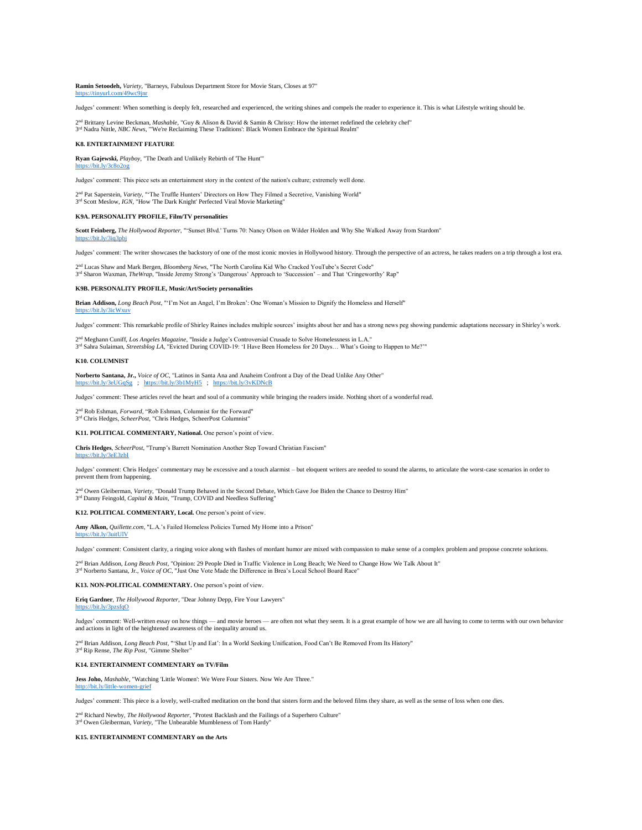**Ramin Setoodeh,** *Variety*, "Barneys, Fabulous Department Store for Movie Stars, Closes at 97" <https://tinyurl.com/49wc9jnr>

Judges' comment: When something is deeply felt, researched and experienced, the writing shines and compels the reader to experience it. This is what Lifestyle writing should be.

2<sup>nd</sup> Brittany Levine Beckman, *Mashable*, "Guy & Alison & David & Samin & Chrissy: How the internet redefined the celebrity chef" 3 rd Nadra Nittle, *NBC News*, "'We're Reclaiming These Traditions': Black Women Embrace the Spiritual Realm"

## **K8. ENTERTAINMENT FEATURE**

**Ryan Gajewski,** *Playboy*, "The Death and Unlikely Rebirth of 'The Hunt'" <https://bit.ly/3c8o2og>

Judges' comment: This piece sets an entertainment story in the context of the nation's culture; extremely well done.

2 nd Pat Saperstein, *Variety*, "'The Truffle Hunters' Directors on How They Filmed a Secretive, Vanishing World" 3<sup>rd</sup> Scott Meslow, *IGN*, "How 'The Dark Knight' Perfected Viral Movie Marketing"

#### **K9A. PERSONALITY PROFILE, Film/TV personalities**

**Scott Feinberg,** *The Hollywood Reporter*, "'Sunset Blvd.' Turns 70: Nancy Olson on Wilder Holden and Why She Walked Away from Stardom" <https://bit.ly/3iq3pbj>

Judges' comment: The writer showcases the backstory of one of the most iconic movies in Hollywood history. Through the perspective of an actress, he takes readers on a trip through a lost era.

2 nd Lucas Shaw and Mark Bergen, *Bloomberg News*, "The North Carolina Kid Who Cracked YouTube's Secret Code" 3 rd Sharon Waxman, *TheWrap*, "Inside Jeremy Strong's 'Dangerous' Approach to 'Succession' – and That 'Cringeworthy' Rap"

## **K9B. PERSONALITY PROFILE, Music/Art/Society personalities**

**Brian Addison,** *Long Beach Post*, "'I'm Not an Angel, I'm Broken': One Woman's Mission to Dignify the Homeless and Herself" <https://bit.ly/3icWxuv>

Judges' comment: This remarkable profile of Shirley Raines includes multiple sources' insights about her and has a strong news peg showing pandemic adaptations necessary in Shirley's work.

2 nd Meghann Cuniff, *Los Angeles Magazine*, "Inside a Judge's Controversial Crusade to Solve Homelessness in L.A." 3 rd Sahra Sulaiman, *Streetsblog LA*, "Evicted During COVID-19: 'I Have Been Homeless for 20 Days… What's Going to Happen to Me?'"

#### **K10. COLUMNIST**

**Norberto Santana, Jr.,** *Voice of OC*, "Latinos in Santa Ana and Anaheim Confront a Day of the Dead Unlike Any Other" <https://bit.ly/3eUGqSg>; <https://bit.ly/3b1MyH5>; <https://bit.ly/3vKDNcB>

Judges' comment: These articles revel the heart and soul of a community while bringing the readers inside. Nothing short of a wonderful read.

2 nd Rob Eshman, *Forward*, "Rob Eshman, Columnist for the Forward"

3 rd Chris Hedges, *ScheerPost*, "Chris Hedges, ScheerPost Columnist"

**K11. POLITICAL COMMENTARY, National.** One person's point of view.

**Chris Hedges**, *ScheerPost*, "Trump's Barrett Nomination Another Step Toward Christian Fascism"

## hit.ly/3eE3zbI

Judges' comment: Chris Hedges' commentary may be excessive and a touch alarmist – but eloquent writers are needed to sound the alarms, to articulate the worst-case scenarios in order to prevent them from happening.

2<sup>nd</sup> Owen Gleiberman, *Variety*, "Donald Trump Behaved in the Second Debate, Which Gave Joe Biden the Chance to Destroy Him"<br>3<sup>rd</sup> Danny Feingold, *Capital & Main*, "Trump, COVID and Needless Suffering"

## **K12. POLITICAL COMMENTARY, Local.** One person's point of view.

**Amy Alkon,** *Quillette.com*, "L.A.'s Failed Homeless Policies Turned My Home into a Prison" <https://bit.ly/3uitUlV>

Judges' comment: Consistent clarity, a ringing voice along with flashes of mordant humor are mixed with compassion to make sense of a complex problem and propose concrete solutions.

2™ Brian Addison, *Long Beach Post*, "Opinion: 29 People Died in Traffic Violence in Long Beach; We Need to Change How We Talk About It"<br>3™ Norberto Santana, Jr., *Voice of OC*, "Just One Vote Made the Difference in Brea's

#### **K13. NON-POLITICAL COMMENTARY.** One person's point of view.

**Eriq Gardner**, *The Hollywood Reporter*, "Dear Johnny Depp, Fire Your Lawyers" <https://bit.ly/3pzsfqO>

Judges' comment: Well-written essay on how things — and movie heroes — are often not what they seem. It is a great example of how we are all having to come to terms with our own behavior<br>and actions in light of the heighte

2 nd Brian Addison, *Long Beach Post*, "'Shut Up and Eat': In a World Seeking Unification, Food Can't Be Removed From Its History"

#### **K14. ENTERTAINMENT COMMENTARY on TV/Film**

3 rd Rip Rense, *The Rip Post*, "Gimme Shelter"

Jess Joho, *Mashable*, "Watching 'Little Women': We Were Four Sisters. Now We Are Three." <http://bit.ly/little-women-grief>

Judges' comment: This piece is a lovely, well-crafted meditation on the bond that sisters form and the beloved films they share, as well as the sense of loss when one dies.

2<sup>nd</sup> Richard Newby, *The Hollywood Reporter*, "Protest Backlash and the Failings of a Superhero Culture"<br><sup>3rd</sup> Owen Gleiberman, *Variety*, "The Unbearable Mumbleness of Tom Hardy"

### **K15. ENTERTAINMENT COMMENTARY on the Arts**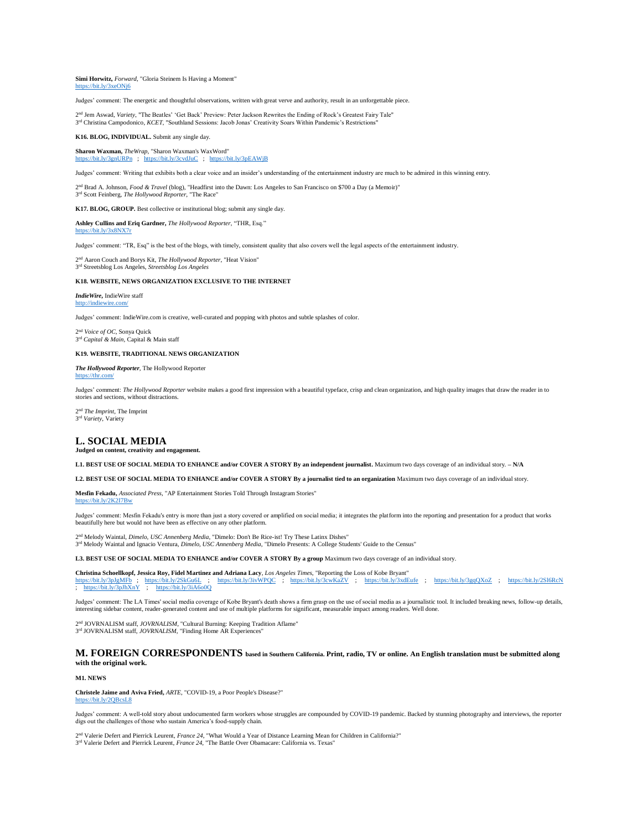#### **Simi Horwitz,** *Forward*, "Gloria Steinem Is Having a Moment" <https://bit.ly/3xeONj6>

Judges' comment: The energetic and thoughtful observations, written with great verve and authority, result in an unforgettable piece.

2 nd Jem Aswad, *Variety*, "The Beatles' 'Get Back' Preview: Peter Jackson Rewrites the Ending of Rock's Greatest Fairy Tale" 3<sup>rd</sup> Christina Campodonico, *KCET*, "Southland Sessions: Jacob Jonas' Creativity Soars Within Pandemic's Restrictions"

## **K16. BLOG, INDIVIDUAL.** Submit any single day.

**Sharon Waxman,** *TheWrap*, "Sharon Waxman's WaxWord" <https://bit.ly/3gnURPn>; <https://bit.ly/3cvdJuC>; <https://bit.ly/3pEAWjB>

Judges' comment: Writing that exhibits both a clear voice and an insider's understanding of the entertainment industry are much to be admired in this winning entry.

2 nd Brad A. Johnson, *Food & Travel* (blog), "Headfirst into the Dawn: Los Angeles to San Francisco on \$700 a Day (a Memoir)" 3 rd Scott Feinberg, *The Hollywood Reporter*, "The Race"

**K17. BLOG, GROUP.** Best collective or institutional blog; submit any single day.

**Ashley Cullins and Eriq Gardner,** *The Hollywood Reporter*, "THR, Esq." <https://bit.ly/3x8NX7r>

Judges' comment: "TR, Esq" is the best of the blogs, with timely, consistent quality that also covers well the legal aspects of the entertainment industry.

2 nd Aaron Couch and Borys Kit, *The Hollywood Reporter*, "Heat Vision"

3 rd Streetsblog Los Angeles, *Streetsblog Los Angeles*

## **K18. WEBSITE, NEWS ORGANIZATION EXCLUSIVE TO THE INTERNET**

#### *IndieWire***,** IndieWire staff wire.com

Judges' comment: IndieWire.com is creative, well-curated and popping with photos and subtle splashes of color.

2 nd *Voice of OC,* Sonya Quick 3 rd *Capital & Main,* Capital & Main staff

### **K19. WEBSITE, TRADITIONAL NEWS ORGANIZATION**

*The Hollywood Reporter*, The Hollywood Reporter <https://thr.com/>

Judges' comment: The Hollywood Reporter website makes a good first impression with a beautiful typeface, crisp and clean organization, and high quality images that draw the reader in to stories and sections, without distractions.

2 nd *The Imprint*, The Imprint 3 rd *Variety*, Variety

## **L. SOCIAL MEDIA**

## **Judged on content, creativity and engagement.**

**L1. BEST USE OF SOCIAL MEDIA TO ENHANCE and/or COVER A STORY By an independent journalist.** Maximum two days coverage of an individual story. **– N/A**

**L2. BEST USE OF SOCIAL MEDIA TO ENHANCE and/or COVER A STORY By a journalist tied to an organization** Maximum two days coverage of an individual story.

**Mesfin Fekadu,** *Associated Press*, "AP Entertainment Stories Told Through Instagram Stories" bit.ly/2K2I7Bw

Judges' comment: Mesfin Fekadu's entry is more than just a story covered or amplified on social media; it integrates the platform into the reporting and presentation for a product that works beautifully here but would not have been as effective on any other platform.

2<sup>nd</sup> Melody Waintal, *Dimelo, USC Annenberg Media*, "Dimelo: Don't Be Rice-ist! Try These Latinx Dishes" 3<sup>rd</sup> Melody Waintal and Ignacio Ventura, *Dimelo, USC Annenberg Media*, "Dimelo Presents: A College Students' Guide to the Census"

**L3. BEST USE OF SOCIAL MEDIA TO ENHANCE and/or COVER A STORY By a group** Maximum two days coverage of an individual story.

**Christina Schoellkopf, Jessica Roy, Fidel Martinez and Adriana Lacy**, *Los Angeles Times*, "Reporting the Loss of Kobe Bryant" <https://bit.ly/3pJgMFb>; <https://bit.ly/2SkGu6L>; <https://bit.ly/3ivWPQC>; <https://bit.ly/3cwKaZV>; <https://bit.ly/3xdEufe>; <https://bit.ly/3gqQXoZ>; <https://bit.ly/2Sl6RcN> ; <https://bit.ly/3pJhXnY>; <https://bit.ly/3iA6o0Q>

Judges' comment: The LA Times' social media coverage of Kobe Bryant's death shows a firm grasp on the use of social media as a journalistic tool. It included breaking news, follow-up details, interesting sidebar content, reader-generated content and use of multiple platforms for significant, measurable impact among readers. Well done.

2<sup>nd</sup> JOVRNALISM staff, *JOVRNALISM*, "Cultural Burning: Keeping Tradition Aflame" 3<sup>rd</sup> JOVRNALISM staff, *JOVRNALISM*, "Finding Home AR Experiences"

**M. FOREIGN CORRESPONDENTS based in Southern California. Print, radio, TV or online. An English translation must be submitted along with the original work.** 

### **M1. NEWS**

**Christele Jaime and Aviva Fried,** *ARTE*, "COVID-19, a Poor People's Disease?"

## .ly/2OBcsL8

Judges' comment: A well-told story about undocumented farm workers whose struggles are compounded by COVID-19 pandemic. Backed by stunning photography and interviews, the reporter digs out the challenges of those who sustain America's food-supply chain.

2 nd Valerie Defert and Pierrick Leurent, *France 24*, "What Would a Year of Distance Learning Mean for Children in California?" 3 rd Valerie Defert and Pierrick Leurent, *France 24*, "The Battle Over Obamacare: California vs. Texas"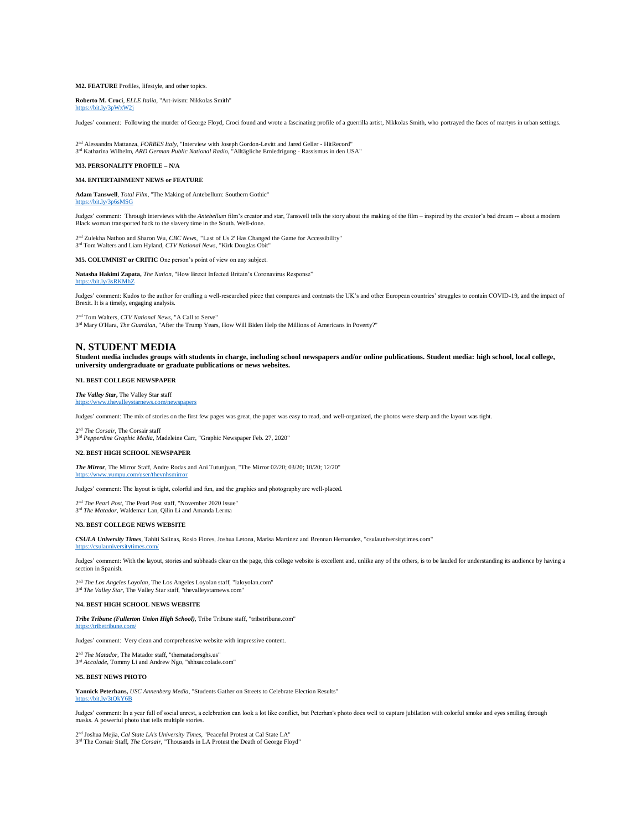## **M2. FEATURE** Profiles, lifestyle, and other topics.

**Roberto M. Croci**, *ELLE Italia*, "Art-ivism: Nikkolas Smith"

<https://bit.ly/3pWxW2j>

Judges' comment: Following the murder of George Floyd, Croci found and wrote a fascinating profile of a guerrilla artist, Nikkolas Smith, who portrayed the faces of martyrs in urban settings.

2 nd Alessandra Mattanza, *FORBES Italy*, "Interview with Joseph Gordon-Levitt and Jared Geller - HitRecord" 3 rd Katharina Wilhelm, *ARD German Public National Radio*, "Alltägliche Erniedrigung - Rassismus in den USA"

## **M3. PERSONALITY PROFILE – N/A**

## **M4. ENTERTAINMENT NEWS or FEATURE**

**Adam Tanswell**, *Total Film*, "The Making of Antebellum: Southern Gothic" <https://bit.ly/3p6sMSG>

Judges' comment: Through interviews with the *Antebellum* film's creator and star, Tanswell tells the story about the making of the film – inspired by the creator's bad dream -- about a modern Black woman transported back to the slavery time in the South. Well-done.

2 nd Zulekha Nathoo and Sharon Wu, *CBC News*, "'Last of Us 2' Has Changed the Game for Accessibility" 3 rd Tom Walters and Liam Hyland, *CTV National News*, "Kirk Douglas Obit"

**M5. COLUMNIST or CRITIC** One person's point of view on any subject.

**Natasha Hakimi Zapata,** *The Nation*, "How Brexit Infected Britain's Coronavirus Response" <https://bit.ly/3sRKMhZ>

Judges' comment: Kudos to the author for crafting a well-researched piece that compares and contrasts the UK's and other European countries' struggles to contain COVID-19, and the impact of Brexit. It is a timely, engaging analysis.

2 nd Tom Walters, *CTV National News*, "A Call to Serve" 3 rd Mary O'Hara, *The Guardian*, "After the Trump Years, How Will Biden Help the Millions of Americans in Poverty?"

## **N. STUDENT MEDIA**

**Student media includes groups with students in charge, including school newspapers and/or online publications. Student media: high school, local college, university undergraduate or graduate publications or news websites.** 

## **N1. BEST COLLEGE NEWSPAPER**

*The Valley Star***,** The Valley Star staff <https://www.thevalleystarnews.com/newspapers>

Judges' comment: The mix of stories on the first few pages was great, the paper was easy to read, and well-organized, the photos were sharp and the layout was tight.

2 nd *The Corsair,* The Corsair staff 3 rd *Pepperdine Graphic Media*, Madeleine Carr, "Graphic Newspaper Feb. 27, 2020"

#### **N2. BEST HIGH SCHOOL NEWSPAPER**

*The Mirror*, The Mirror Staff, Andre Rodas and Ani Tutunjyan, "The Mirror 02/20; 03/20; 10/20; 12/20" //www.yumpu.com/user/thevnhsmirror

Judges' comment: The layout is tight, colorful and fun, and the graphics and photography are well-placed.

2 nd *The Pearl Post*, The Pearl Post staff, "November 2020 Issue" 3<sup>rd</sup> The Matador, Waldemar Lan, Qilin Li and Amanda Lerma

#### **N3. BEST COLLEGE NEWS WEBSITE**

<https://csulauniversitytimes.com/>

*CSULA University Times*, Tahiti Salinas, Rosio Flores, Joshua Letona, Marisa Martinez and Brennan Hernandez, "csulauniversitytimes.com"

Judges' comment: With the layout, stories and subheads clear on the page, this college website is excellent and, unlike any of the others, is to be lauded for understanding its audience by having a section in Spanish.

2<sup>nd</sup> *The Los Angeles Loyolan*, The Los Angeles Loyolan staff, "laloyolan.com"<br>3<sup>rd</sup> *The Valley Star*, The Valley Star staff, "thevalleystarnews.com"

#### **N4. BEST HIGH SCHOOL NEWS WEBSITE**

*Tribe Tribune (Fullerton Union High School)*, Tribe Tribune staff, "tribetribune.com" <https://tribetribune.com/>

Judges' comment: Very clean and comprehensive website with impressive content.

2<sup>nd</sup> The Matador, The Matador staff, "thematadorsghs.us" 3<sup>rd</sup> *Accolade*, Tommy Li and Andrew Ngo, "shhsaccolade.com"

#### **N5. BEST NEWS PHOTO**

**Yannick Peterhans,** *USC Annenberg Media*, "Students Gather on Streets to Celebrate Election Results"

<https://bit.ly/3tQkY6B>

Judges' comment: In a year full of social unrest, a celebration can look a lot like conflict, but Peterhan's photo does well to capture jubilation with colorful smoke and eyes smiling through masks. A powerful photo that tells multiple stories.

2 nd Joshua Mejia, *Cal State LA's University Times*, "Peaceful Protest at Cal State LA" 3<sup>rd</sup> The Corsair Staff, *The Corsair*, "Thousands in LA Protest the Death of George Floyd"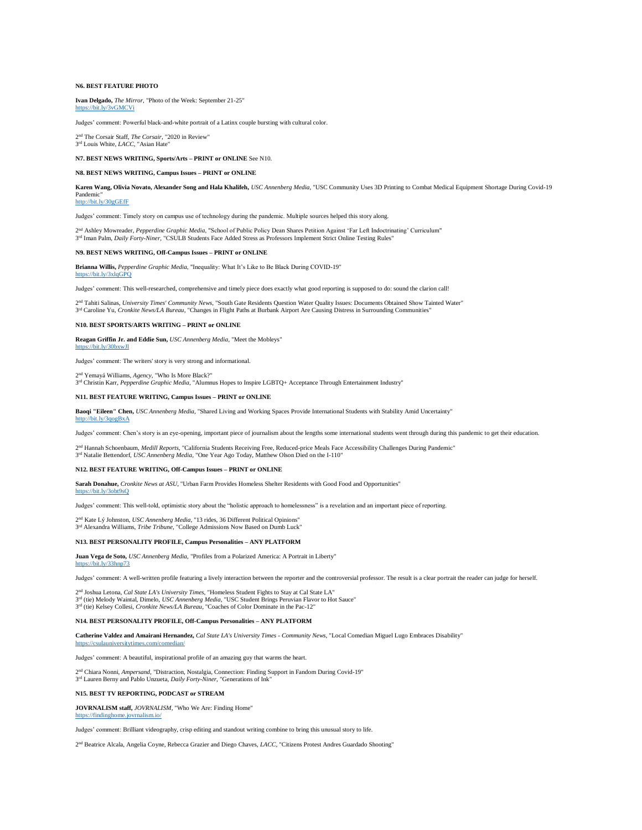## **N6. BEST FEATURE PHOTO**

**Ivan Delgado,** *The Mirror*, "Photo of the Week: September 21-25"

<https://bit.ly/3vGMCVi>

Judges' comment: Powerful black-and-white portrait of a Latinx couple bursting with cultural color.

2 nd The Corsair Staff, *The Corsair*, "2020 in Review" 3 rd Louis White, *LACC*, "Asian Hate"

#### **N7. BEST NEWS WRITING, Sports/Arts – PRINT or ONLINE** See N10.

#### **N8. BEST NEWS WRITING, Campus Issues – PRINT or ONLINE**

**Karen Wang, Olivia Novato, Alexander Song and Hala Khalifeh,** *USC Annenberg Media*, "USC Community Uses 3D Printing to Combat Medical Equipment Shortage During Covid-19 Pandemic" <http://bit.ly/30gGEfF>

Judges' comment: Timely story on campus use of technology during the pandemic. Multiple sources helped this story along.

2 nd Ashley Mowreader, *Pepperdine Graphic Media*, "School of Public Policy Dean Shares Petition Against 'Far Left Indoctrinating' Curriculum" 3<sup>rd</sup> Iman Palm, *Daily Forty-Niner*, "CSULB Students Face Added Stress as Professors Implement Strict Online Testing Rules"

## **N9. BEST NEWS WRITING, Off-Campus Issues – PRINT or ONLINE**

**Brianna Willis,** *Pepperdine Graphic Media*, "Inequality: What It's Like to Be Black During COVID-19" <https://bit.ly/3xlqGPQ>

Judges' comment: This well-researched, comprehensive and timely piece does exactly what good reporting is supposed to do: sound the clarion call!

2 nd Tahiti Salinas, *University Times' Community News*, "South Gate Residents Question Water Quality Issues: Documents Obtained Show Tainted Water" 3<sup>rd</sup> Caroline Yu, *Cronkite News/LA Bureau*, "Changes in Flight Paths at Burbank Airport Are Causing Distress in Surrounding Communities"

**N10. BEST SPORTS/ARTS WRITING – PRINT or ONLINE** 

**Reagan Griffin Jr. and Eddie Sun,** *USC Annenberg Media*, "Meet the Mobleys" <https://bit.ly/30bxwJl>

Judges' comment: The writers' story is very strong and informational.

2 nd Yemayá Williams, *Agency*, "Who Is More Black?"

3 rd Christin Karr, *Pepperdine Graphic Media*, "Alumnus Hopes to Inspire LGBTQ+ Acceptance Through Entertainment Industry"

## **N11. BEST FEATURE WRITING, Campus Issues – PRINT or ONLINE**

**Baoqi "Eileen" Chen,** *USC Annenberg Media*, "Shared Living and Working Spaces Provide International Students with Stability Amid Uncertainty" <http://bit.ly/3qogBxA>

Judges' comment: Chen's story is an eye-opening, important piece of journalism about the lengths some international students went through during this pandemic to get their education.

2<sup>nd</sup> Hannah Schoenbaum, *Medill Reports*, "California Students Receiving Free, Reduced-price Meals Face Accessibility Challenges During Pandemic" 3 rd Natalie Bettendorf, *USC Annenberg Media*, "One Year Ago Today, Matthew Olson Died on the I-110"

#### **N12. BEST FEATURE WRITING, Off-Campus Issues – PRINT or ONLINE**

**Sarah Donahue,** *Cronkite News at ASU*, "Urban Farm Provides Homeless Shelter Residents with Good Food and Opportunities"

<https://bit.ly/3obt9sQ>

Judges' comment: This well-told, optimistic story about the "holistic approach to homelessness" is a revelation and an important piece of reporting.

2<sup>nd</sup> Kate Lý Johnston, *USC Annenberg Media*, "13 rides, 36 Different Political Opinions" 3 rd Alexandra Williams, *Tribe Tribune*, "College Admissions Now Based on Dumb Luck"

### **N13. BEST PERSONALITY PROFILE, Campus Personalities – ANY PLATFORM**

**Juan Vega de Soto,** *USC Annenberg Media*, "Profiles from a Polarized America: A Portrait in Liberty" <https://bit.ly/33hnp73>

Judges' comment: A well-written profile featuring a lively interaction between the reporter and the controversial professor. The result is a clear portrait the reader can judge for herself.

2 nd Joshua Letona, *Cal State LA's University Times*, "Homeless Student Fights to Stay at Cal State LA" 3<sup>rd</sup> (tie) Melody Waintal, Dimelo, *USC Annenberg Media*, "USC Student Brings Peruvian Flavor to Hot Sauce"<br>3<sup>rd</sup> (tie) Kelsey Collesi, *Cronkite News/LA Bureau*, "Coaches of Color Dominate in the Pac-12"

#### **N14. BEST PERSONALITY PROFILE, Off-Campus Personalities – ANY PLATFORM**

**Catherine Valdez and Amairani Hernandez,** *Cal State LA's University Times - Community News*, "Local Comedian Miguel Lugo Embraces Disability"

Judges' comment: A beautiful, inspirational profile of an amazing guy that warms the heart.

2<sup>nd</sup> Chiara Nonni, *Ampersand*, "Distraction, Nostalgia, Connection: Finding Support in Fandom During Covid-19"<br><sup>3rd</sup> Lauren Berny and Pablo Unzueta, *Daily Forty-Niner*, "Generations of Ink"

#### **N15. BEST TV REPORTING, PODCAST or STREAM**

<https://csulauniversitytimes.com/comedian/>

**JOVRNALISM staff,** *JOVRNALISM*, "Who We Are: Finding Home" <https://findinghome.jovrnalism.io/>

Judges' comment: Brilliant videography, crisp editing and standout writing combine to bring this unusual story to life.

2<sup>nd</sup> Beatrice Alcala, Angelia Coyne, Rebecca Grazier and Diego Chaves, *LACC*, "Citizens Protest Andres Guardado Shooting"